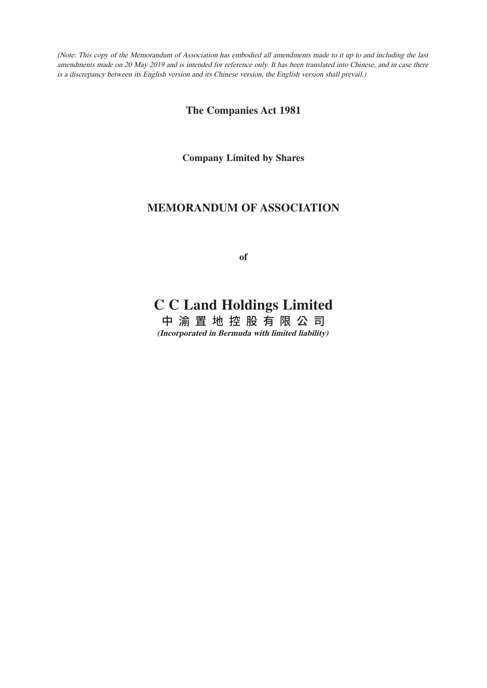(Note: This copy of the Memorandum of Association has embodied all amendments made to it up to and including the last amendments made on 20 May 2019 and is intended for reference only. It has been translated into Chinese, and in case there is a discrepancy between its English version and its Chinese version, the English version shall prevail.)

**The Companies Act 1981**

**Company Limited by Shares**

## **MEMORANDUM OF ASSOCIATION**

**of**

# **C C Land Holdings Limited**

中 渝 置 地 控 股 有 限 公 司 **(Incorporated in Bermuda with limited liability)**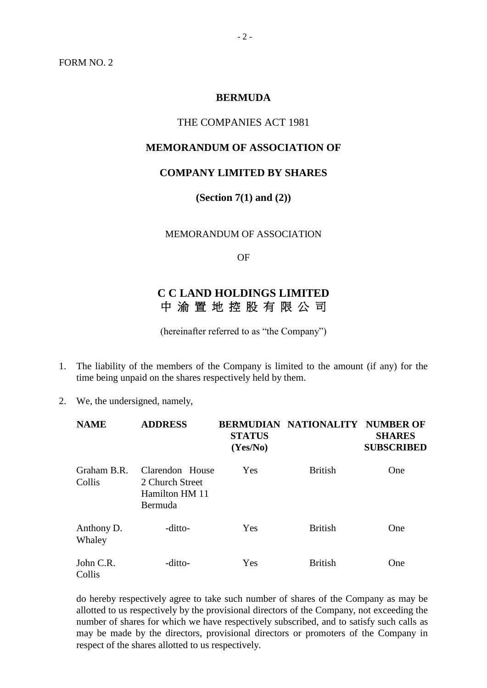## **BERMUDA**

## THE COMPANIES ACT 1981

## **MEMORANDUM OF ASSOCIATION OF**

#### **COMPANY LIMITED BY SHARES**

**(Section 7(1) and (2))**

MEMORANDUM OF ASSOCIATION

OF

## **C C LAND HOLDINGS LIMITED**  中 渝 置 地 控 股 有 限 公 司

(hereinafter referred to as "the Company")

- 1. The liability of the members of the Company is limited to the amount (if any) for the time being unpaid on the shares respectively held by them.
- 2. We, the undersigned, namely,

| <b>NAME</b>           | <b>ADDRESS</b>                                                  | <b>STATUS</b><br>(Yes/No) | <b>BERMUDIAN NATIONALITY NUMBER OF</b> | <b>SHARES</b><br><b>SUBSCRIBED</b> |
|-----------------------|-----------------------------------------------------------------|---------------------------|----------------------------------------|------------------------------------|
| Graham B.R.<br>Collis | Clarendon House<br>2 Church Street<br>Hamilton HM 11<br>Bermuda | Yes                       | <b>British</b>                         | One                                |
| Anthony D.<br>Whaley  | -ditto-                                                         | Yes                       | <b>British</b>                         | One                                |
| John C.R.<br>Collis   | -ditto-                                                         | Yes                       | <b>British</b>                         | One                                |

do hereby respectively agree to take such number of shares of the Company as may be allotted to us respectively by the provisional directors of the Company, not exceeding the number of shares for which we have respectively subscribed, and to satisfy such calls as may be made by the directors, provisional directors or promoters of the Company in respect of the shares allotted to us respectively.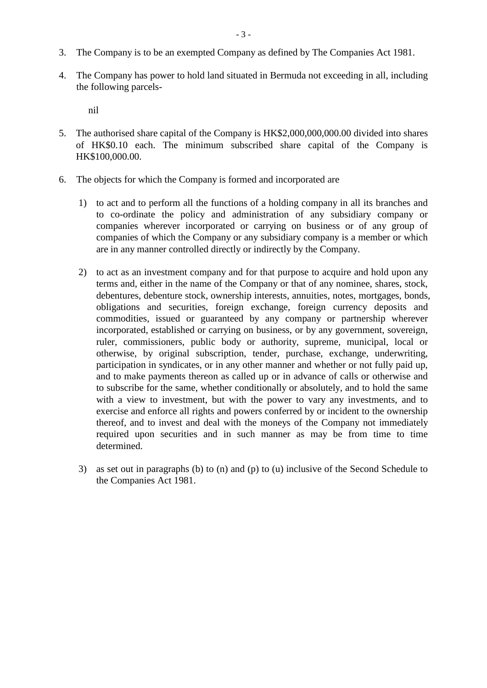- 3. The Company is to be an exempted Company as defined by The Companies Act 1981.
- 4. The Company has power to hold land situated in Bermuda not exceeding in all, including the following parcels-

nil

- 5. The authorised share capital of the Company is HK\$2,000,000,000.00 divided into shares of HK\$0.10 each. The minimum subscribed share capital of the Company is HK\$100,000.00.
- 6. The objects for which the Company is formed and incorporated are
	- 1) to act and to perform all the functions of a holding company in all its branches and to co-ordinate the policy and administration of any subsidiary company or companies wherever incorporated or carrying on business or of any group of companies of which the Company or any subsidiary company is a member or which are in any manner controlled directly or indirectly by the Company.
	- 2) to act as an investment company and for that purpose to acquire and hold upon any terms and, either in the name of the Company or that of any nominee, shares, stock, debentures, debenture stock, ownership interests, annuities, notes, mortgages, bonds, obligations and securities, foreign exchange, foreign currency deposits and commodities, issued or guaranteed by any company or partnership wherever incorporated, established or carrying on business, or by any government, sovereign, ruler, commissioners, public body or authority, supreme, municipal, local or otherwise, by original subscription, tender, purchase, exchange, underwriting, participation in syndicates, or in any other manner and whether or not fully paid up, and to make payments thereon as called up or in advance of calls or otherwise and to subscribe for the same, whether conditionally or absolutely, and to hold the same with a view to investment, but with the power to vary any investments, and to exercise and enforce all rights and powers conferred by or incident to the ownership thereof, and to invest and deal with the moneys of the Company not immediately required upon securities and in such manner as may be from time to time determined.
	- 3) as set out in paragraphs (b) to (n) and (p) to (u) inclusive of the Second Schedule to the Companies Act 1981.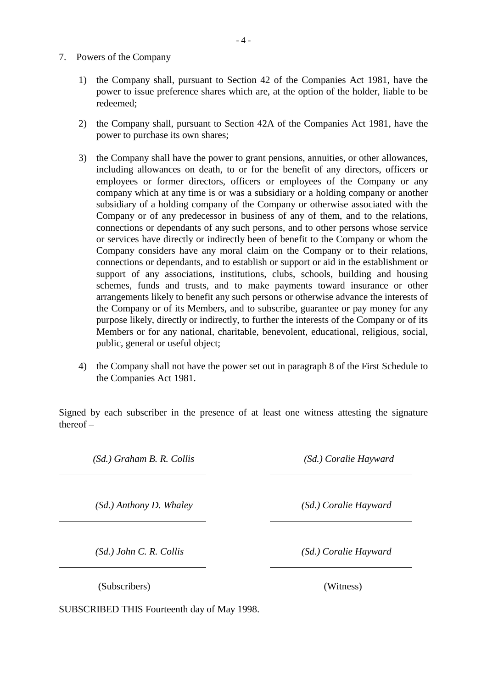- 7. Powers of the Company
	- 1) the Company shall, pursuant to Section 42 of the Companies Act 1981, have the power to issue preference shares which are, at the option of the holder, liable to be redeemed;
	- 2) the Company shall, pursuant to Section 42A of the Companies Act 1981, have the power to purchase its own shares;
	- 3) the Company shall have the power to grant pensions, annuities, or other allowances, including allowances on death, to or for the benefit of any directors, officers or employees or former directors, officers or employees of the Company or any company which at any time is or was a subsidiary or a holding company or another subsidiary of a holding company of the Company or otherwise associated with the Company or of any predecessor in business of any of them, and to the relations, connections or dependants of any such persons, and to other persons whose service or services have directly or indirectly been of benefit to the Company or whom the Company considers have any moral claim on the Company or to their relations, connections or dependants, and to establish or support or aid in the establishment or support of any associations, institutions, clubs, schools, building and housing schemes, funds and trusts, and to make payments toward insurance or other arrangements likely to benefit any such persons or otherwise advance the interests of the Company or of its Members, and to subscribe, guarantee or pay money for any purpose likely, directly or indirectly, to further the interests of the Company or of its Members or for any national, charitable, benevolent, educational, religious, social, public, general or useful object;
	- 4) the Company shall not have the power set out in paragraph 8 of the First Schedule to the Companies Act 1981.

Signed by each subscriber in the presence of at least one witness attesting the signature thereof –

 $\overline{a}$ 

 $\overline{a}$ 

 $\overline{a}$ 

*(Sd.) Graham B. R. Collis (Sd.) Coralie Hayward*

*(Sd.) Anthony D. Whaley (Sd.) Coralie Hayward*

*(Sd.) John C. R. Collis (Sd.) Coralie Hayward*

(Subscribers) (Witness)

SUBSCRIBED THIS Fourteenth day of May 1998.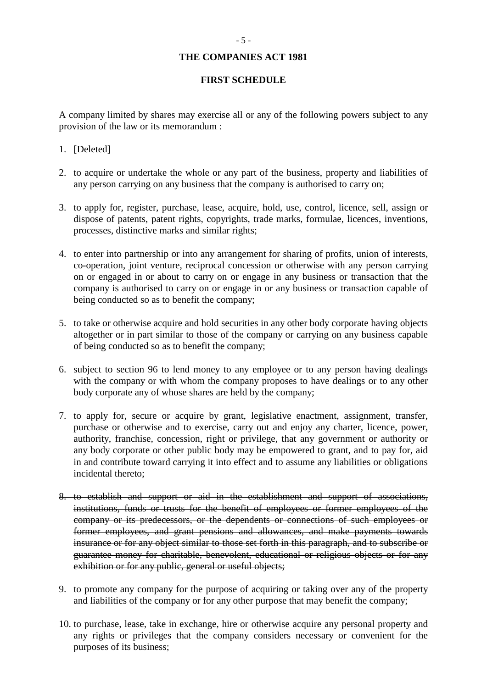## **THE COMPANIES ACT 1981**

## **FIRST SCHEDULE**

A company limited by shares may exercise all or any of the following powers subject to any provision of the law or its memorandum :

- 1. [Deleted]
- 2. to acquire or undertake the whole or any part of the business, property and liabilities of any person carrying on any business that the company is authorised to carry on;
- 3. to apply for, register, purchase, lease, acquire, hold, use, control, licence, sell, assign or dispose of patents, patent rights, copyrights, trade marks, formulae, licences, inventions, processes, distinctive marks and similar rights;
- 4. to enter into partnership or into any arrangement for sharing of profits, union of interests, co-operation, joint venture, reciprocal concession or otherwise with any person carrying on or engaged in or about to carry on or engage in any business or transaction that the company is authorised to carry on or engage in or any business or transaction capable of being conducted so as to benefit the company;
- 5. to take or otherwise acquire and hold securities in any other body corporate having objects altogether or in part similar to those of the company or carrying on any business capable of being conducted so as to benefit the company;
- 6. subject to section 96 to lend money to any employee or to any person having dealings with the company or with whom the company proposes to have dealings or to any other body corporate any of whose shares are held by the company;
- 7. to apply for, secure or acquire by grant, legislative enactment, assignment, transfer, purchase or otherwise and to exercise, carry out and enjoy any charter, licence, power, authority, franchise, concession, right or privilege, that any government or authority or any body corporate or other public body may be empowered to grant, and to pay for, aid in and contribute toward carrying it into effect and to assume any liabilities or obligations incidental thereto;
- 8. to establish and support or aid in the establishment and support of associations, institutions, funds or trusts for the benefit of employees or former employees of the company or its predecessors, or the dependents or connections of such employees or former employees, and grant pensions and allowances, and make payments towards insurance or for any object similar to those set forth in this paragraph, and to subscribe or guarantee money for charitable, benevolent, educational or religious objects or for any exhibition or for any public, general or useful objects;
- 9. to promote any company for the purpose of acquiring or taking over any of the property and liabilities of the company or for any other purpose that may benefit the company;
- 10. to purchase, lease, take in exchange, hire or otherwise acquire any personal property and any rights or privileges that the company considers necessary or convenient for the purposes of its business;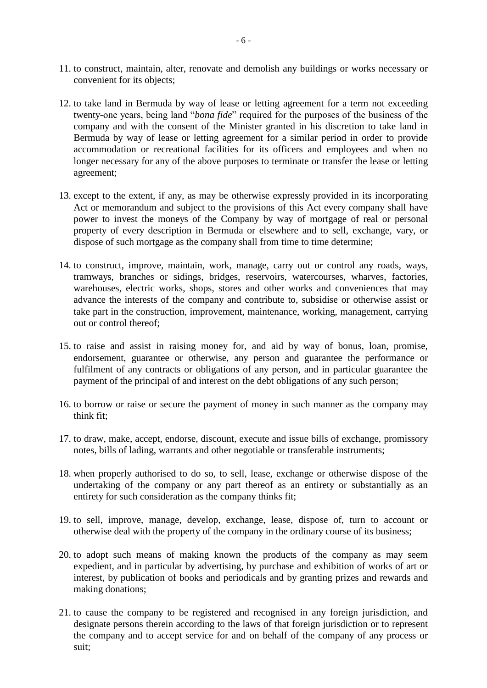- 11. to construct, maintain, alter, renovate and demolish any buildings or works necessary or convenient for its objects;
- 12. to take land in Bermuda by way of lease or letting agreement for a term not exceeding twenty-one years, being land "*bona fide*" required for the purposes of the business of the company and with the consent of the Minister granted in his discretion to take land in Bermuda by way of lease or letting agreement for a similar period in order to provide accommodation or recreational facilities for its officers and employees and when no longer necessary for any of the above purposes to terminate or transfer the lease or letting agreement;
- 13. except to the extent, if any, as may be otherwise expressly provided in its incorporating Act or memorandum and subject to the provisions of this Act every company shall have power to invest the moneys of the Company by way of mortgage of real or personal property of every description in Bermuda or elsewhere and to sell, exchange, vary, or dispose of such mortgage as the company shall from time to time determine;
- 14. to construct, improve, maintain, work, manage, carry out or control any roads, ways, tramways, branches or sidings, bridges, reservoirs, watercourses, wharves, factories, warehouses, electric works, shops, stores and other works and conveniences that may advance the interests of the company and contribute to, subsidise or otherwise assist or take part in the construction, improvement, maintenance, working, management, carrying out or control thereof;
- 15. to raise and assist in raising money for, and aid by way of bonus, loan, promise, endorsement, guarantee or otherwise, any person and guarantee the performance or fulfilment of any contracts or obligations of any person, and in particular guarantee the payment of the principal of and interest on the debt obligations of any such person;
- 16. to borrow or raise or secure the payment of money in such manner as the company may think fit;
- 17. to draw, make, accept, endorse, discount, execute and issue bills of exchange, promissory notes, bills of lading, warrants and other negotiable or transferable instruments;
- 18. when properly authorised to do so, to sell, lease, exchange or otherwise dispose of the undertaking of the company or any part thereof as an entirety or substantially as an entirety for such consideration as the company thinks fit;
- 19. to sell, improve, manage, develop, exchange, lease, dispose of, turn to account or otherwise deal with the property of the company in the ordinary course of its business;
- 20. to adopt such means of making known the products of the company as may seem expedient, and in particular by advertising, by purchase and exhibition of works of art or interest, by publication of books and periodicals and by granting prizes and rewards and making donations;
- 21. to cause the company to be registered and recognised in any foreign jurisdiction, and designate persons therein according to the laws of that foreign jurisdiction or to represent the company and to accept service for and on behalf of the company of any process or suit;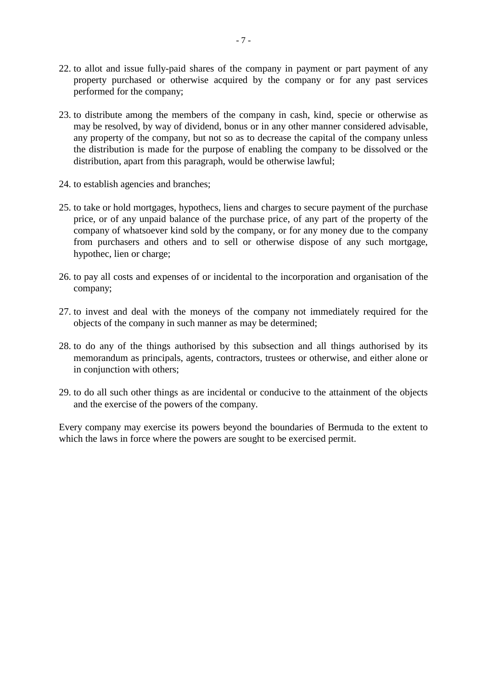- 22. to allot and issue fully-paid shares of the company in payment or part payment of any property purchased or otherwise acquired by the company or for any past services performed for the company;
- 23. to distribute among the members of the company in cash, kind, specie or otherwise as may be resolved, by way of dividend, bonus or in any other manner considered advisable, any property of the company, but not so as to decrease the capital of the company unless the distribution is made for the purpose of enabling the company to be dissolved or the distribution, apart from this paragraph, would be otherwise lawful;
- 24. to establish agencies and branches;
- 25. to take or hold mortgages, hypothecs, liens and charges to secure payment of the purchase price, or of any unpaid balance of the purchase price, of any part of the property of the company of whatsoever kind sold by the company, or for any money due to the company from purchasers and others and to sell or otherwise dispose of any such mortgage, hypothec, lien or charge;
- 26. to pay all costs and expenses of or incidental to the incorporation and organisation of the company;
- 27. to invest and deal with the moneys of the company not immediately required for the objects of the company in such manner as may be determined;
- 28. to do any of the things authorised by this subsection and all things authorised by its memorandum as principals, agents, contractors, trustees or otherwise, and either alone or in conjunction with others;
- 29. to do all such other things as are incidental or conducive to the attainment of the objects and the exercise of the powers of the company.

Every company may exercise its powers beyond the boundaries of Bermuda to the extent to which the laws in force where the powers are sought to be exercised permit.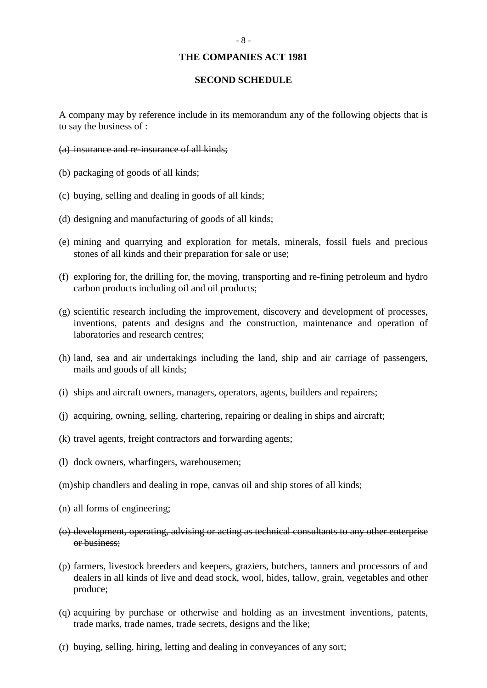#### **THE COMPANIES ACT 1981**

## **SECOND SCHEDULE**

A company may by reference include in its memorandum any of the following objects that is to say the business of :

- (a) insurance and re-insurance of all kinds;
- (b) packaging of goods of all kinds;
- (c) buying, selling and dealing in goods of all kinds;
- (d) designing and manufacturing of goods of all kinds;
- (e) mining and quarrying and exploration for metals, minerals, fossil fuels and precious stones of all kinds and their preparation for sale or use;
- (f) exploring for, the drilling for, the moving, transporting and re-fining petroleum and hydro carbon products including oil and oil products;
- (g) scientific research including the improvement, discovery and development of processes, inventions, patents and designs and the construction, maintenance and operation of laboratories and research centres;
- (h) land, sea and air undertakings including the land, ship and air carriage of passengers, mails and goods of all kinds;
- (i) ships and aircraft owners, managers, operators, agents, builders and repairers;
- (j) acquiring, owning, selling, chartering, repairing or dealing in ships and aircraft;
- (k) travel agents, freight contractors and forwarding agents;
- (l) dock owners, wharfingers, warehousemen;
- (m)ship chandlers and dealing in rope, canvas oil and ship stores of all kinds;
- (n) all forms of engineering;
- (o) development, operating, advising or acting as technical consultants to any other enterprise or business;
- (p) farmers, livestock breeders and keepers, graziers, butchers, tanners and processors of and dealers in all kinds of live and dead stock, wool, hides, tallow, grain, vegetables and other produce;
- (q) acquiring by purchase or otherwise and holding as an investment inventions, patents, trade marks, trade names, trade secrets, designs and the like;
- (r) buying, selling, hiring, letting and dealing in conveyances of any sort;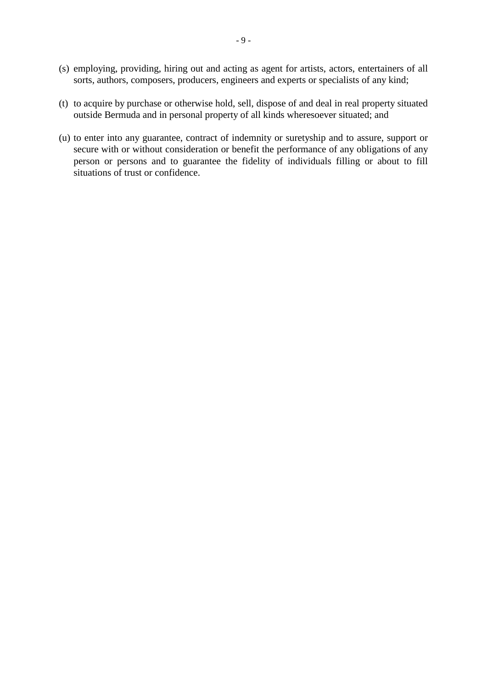- (s) employing, providing, hiring out and acting as agent for artists, actors, entertainers of all sorts, authors, composers, producers, engineers and experts or specialists of any kind;
- (t) to acquire by purchase or otherwise hold, sell, dispose of and deal in real property situated outside Bermuda and in personal property of all kinds wheresoever situated; and
- (u) to enter into any guarantee, contract of indemnity or suretyship and to assure, support or secure with or without consideration or benefit the performance of any obligations of any person or persons and to guarantee the fidelity of individuals filling or about to fill situations of trust or confidence.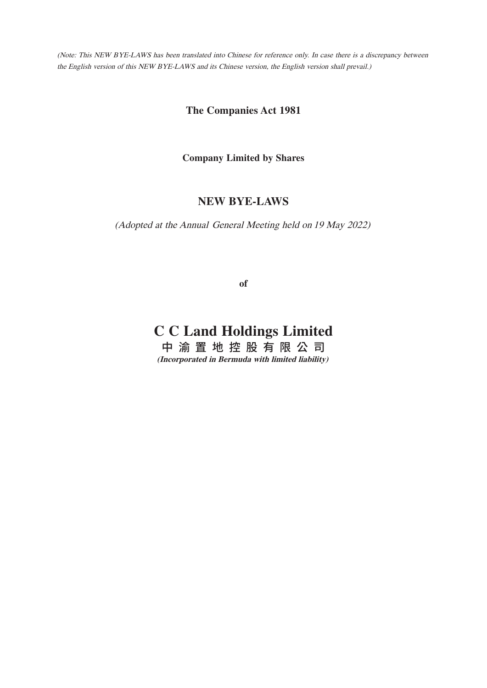(Note: This NEW BYE-LAWS has been translated into Chinese for reference only. In case there is a discrepancy between the English version of this NEW BYE-LAWS and its Chinese version, the English version shall prevail.)

**The Companies Act 1981**

**Company Limited by Shares**

## **NEW BYE-LAWS**

(Adopted at the Annual General Meeting held on 19 May 2022)

**of**

# **C C Land Holdings Limited**

中 渝 置 地 控 股 有 限 公 司 **(Incorporated in Bermuda with limited liability)**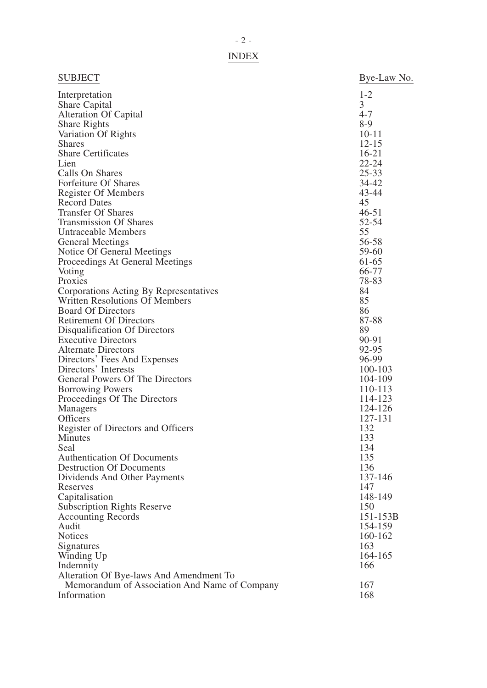|--|

| <b>SUBJECT</b>                                                                           | Bye-Law No. |
|------------------------------------------------------------------------------------------|-------------|
| Interpretation                                                                           | $1 - 2$     |
| <b>Share Capital</b>                                                                     | 3           |
| <b>Alteration Of Capital</b>                                                             | $4 - 7$     |
| <b>Share Rights</b>                                                                      | $8-9$       |
| Variation Of Rights                                                                      | $10 - 11$   |
| <b>Shares</b>                                                                            | $12 - 15$   |
| <b>Share Certificates</b>                                                                | $16-21$     |
| Lien                                                                                     | $22 - 24$   |
| Calls On Shares                                                                          | $25 - 33$   |
| Forfeiture Of Shares                                                                     | $34 - 42$   |
| <b>Register Of Members</b>                                                               | 43-44       |
| <b>Record Dates</b>                                                                      | 45          |
| <b>Transfer Of Shares</b>                                                                | $46 - 51$   |
| <b>Transmission Of Shares</b>                                                            | 52-54       |
| Untraceable Members                                                                      | 55          |
| <b>General Meetings</b>                                                                  | 56-58       |
| Notice Of General Meetings                                                               | 59-60       |
| Proceedings At General Meetings                                                          | 61-65       |
| Voting                                                                                   | 66-77       |
| Proxies                                                                                  | 78-83       |
| Corporations Acting By Representatives                                                   | 84          |
| <b>Written Resolutions Of Members</b>                                                    | 85          |
| <b>Board Of Directors</b>                                                                | 86          |
| <b>Retirement Of Directors</b>                                                           | 87-88       |
| Disqualification Of Directors                                                            | 89          |
| <b>Executive Directors</b>                                                               | 90-91       |
| <b>Alternate Directors</b>                                                               | 92-95       |
| Directors' Fees And Expenses                                                             | 96-99       |
| Directors' Interests                                                                     | 100-103     |
| General Powers Of The Directors                                                          | 104-109     |
| <b>Borrowing Powers</b>                                                                  | 110-113     |
| Proceedings Of The Directors                                                             | 114-123     |
| Managers                                                                                 | 124-126     |
| <b>Officers</b>                                                                          | 127-131     |
| Register of Directors and Officers                                                       | 132         |
| Minutes                                                                                  | 133         |
| Seal                                                                                     | 134         |
| <b>Authentication Of Documents</b>                                                       | 135         |
| <b>Destruction Of Documents</b>                                                          | 136         |
| Dividends And Other Payments                                                             | 137-146     |
| Reserves                                                                                 | 147         |
| Capitalisation                                                                           | 148-149     |
| <b>Subscription Rights Reserve</b>                                                       | 150         |
| <b>Accounting Records</b>                                                                | 151-153B    |
| Audit                                                                                    | 154-159     |
| <b>Notices</b>                                                                           | 160-162     |
| Signatures                                                                               | 163         |
| Winding Up                                                                               | 164-165     |
| Indemnity                                                                                | 166         |
| Alteration Of Bye-laws And Amendment To<br>Memorandum of Association And Name of Company | 167         |
| Information                                                                              | 168         |
|                                                                                          |             |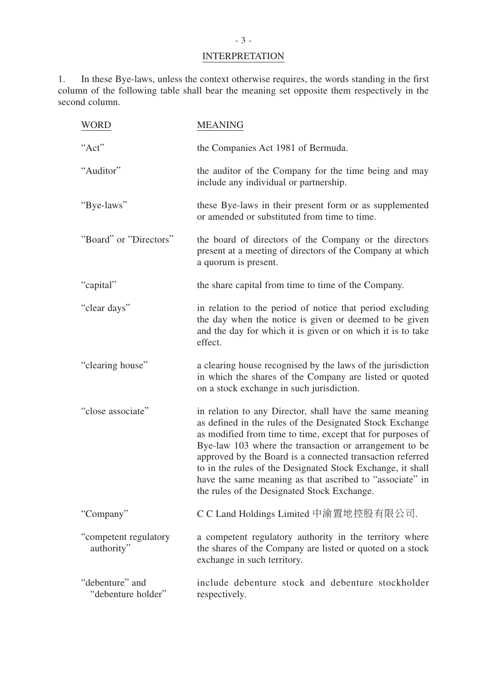# **INTERPRETATION**

1. In these Bye-laws, unless the context otherwise requires, the words standing in the first column of the following table shall bear the meaning set opposite them respectively in the second column.

| <b>WORD</b>                           | <b>MEANING</b>                                                                                                                                                                                                                                                                                                                                                                                                                                                                     |
|---------------------------------------|------------------------------------------------------------------------------------------------------------------------------------------------------------------------------------------------------------------------------------------------------------------------------------------------------------------------------------------------------------------------------------------------------------------------------------------------------------------------------------|
| "Act"                                 | the Companies Act 1981 of Bermuda.                                                                                                                                                                                                                                                                                                                                                                                                                                                 |
| "Auditor"                             | the auditor of the Company for the time being and may<br>include any individual or partnership.                                                                                                                                                                                                                                                                                                                                                                                    |
| "Bye-laws"                            | these Bye-laws in their present form or as supplemented<br>or amended or substituted from time to time.                                                                                                                                                                                                                                                                                                                                                                            |
| "Board" or "Directors"                | the board of directors of the Company or the directors<br>present at a meeting of directors of the Company at which<br>a quorum is present.                                                                                                                                                                                                                                                                                                                                        |
| "capital"                             | the share capital from time to time of the Company.                                                                                                                                                                                                                                                                                                                                                                                                                                |
| "clear days"                          | in relation to the period of notice that period excluding<br>the day when the notice is given or deemed to be given<br>and the day for which it is given or on which it is to take<br>effect.                                                                                                                                                                                                                                                                                      |
| "clearing house"                      | a clearing house recognised by the laws of the jurisdiction<br>in which the shares of the Company are listed or quoted<br>on a stock exchange in such jurisdiction.                                                                                                                                                                                                                                                                                                                |
| "close associate"                     | in relation to any Director, shall have the same meaning<br>as defined in the rules of the Designated Stock Exchange<br>as modified from time to time, except that for purposes of<br>Bye-law 103 where the transaction or arrangement to be<br>approved by the Board is a connected transaction referred<br>to in the rules of the Designated Stock Exchange, it shall<br>have the same meaning as that ascribed to "associate" in<br>the rules of the Designated Stock Exchange. |
| "Company"                             | C C Land Holdings Limited 中渝置地控股有限公司.                                                                                                                                                                                                                                                                                                                                                                                                                                              |
| "competent regulatory<br>authority"   | a competent regulatory authority in the territory where<br>the shares of the Company are listed or quoted on a stock<br>exchange in such territory.                                                                                                                                                                                                                                                                                                                                |
| "debenture" and<br>"debenture holder" | include debenture stock and debenture stockholder<br>respectively.                                                                                                                                                                                                                                                                                                                                                                                                                 |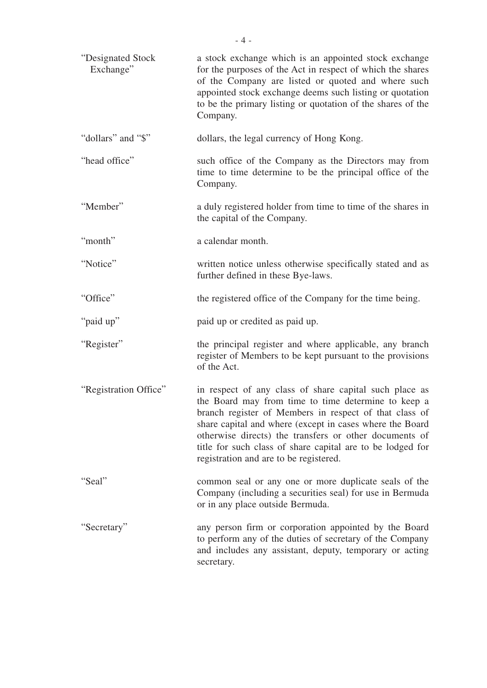| "Designated Stock<br>Exchange" | a stock exchange which is an appointed stock exchange<br>for the purposes of the Act in respect of which the shares<br>of the Company are listed or quoted and where such<br>appointed stock exchange deems such listing or quotation<br>to be the primary listing or quotation of the shares of the<br>Company.                                                                                      |
|--------------------------------|-------------------------------------------------------------------------------------------------------------------------------------------------------------------------------------------------------------------------------------------------------------------------------------------------------------------------------------------------------------------------------------------------------|
| "dollars" and "\$"             | dollars, the legal currency of Hong Kong.                                                                                                                                                                                                                                                                                                                                                             |
| "head office"                  | such office of the Company as the Directors may from<br>time to time determine to be the principal office of the<br>Company.                                                                                                                                                                                                                                                                          |
| "Member"                       | a duly registered holder from time to time of the shares in<br>the capital of the Company.                                                                                                                                                                                                                                                                                                            |
| "month"                        | a calendar month.                                                                                                                                                                                                                                                                                                                                                                                     |
| "Notice"                       | written notice unless otherwise specifically stated and as<br>further defined in these Bye-laws.                                                                                                                                                                                                                                                                                                      |
| "Office"                       | the registered office of the Company for the time being.                                                                                                                                                                                                                                                                                                                                              |
| "paid up"                      | paid up or credited as paid up.                                                                                                                                                                                                                                                                                                                                                                       |
| "Register"                     | the principal register and where applicable, any branch<br>register of Members to be kept pursuant to the provisions<br>of the Act.                                                                                                                                                                                                                                                                   |
| "Registration Office"          | in respect of any class of share capital such place as<br>the Board may from time to time determine to keep a<br>branch register of Members in respect of that class of<br>share capital and where (except in cases where the Board<br>otherwise directs) the transfers or other documents of<br>title for such class of share capital are to be lodged for<br>registration and are to be registered. |
| "Seal"                         | common seal or any one or more duplicate seals of the<br>Company (including a securities seal) for use in Bermuda<br>or in any place outside Bermuda.                                                                                                                                                                                                                                                 |
| "Secretary"                    | any person firm or corporation appointed by the Board<br>to perform any of the duties of secretary of the Company<br>and includes any assistant, deputy, temporary or acting<br>secretary.                                                                                                                                                                                                            |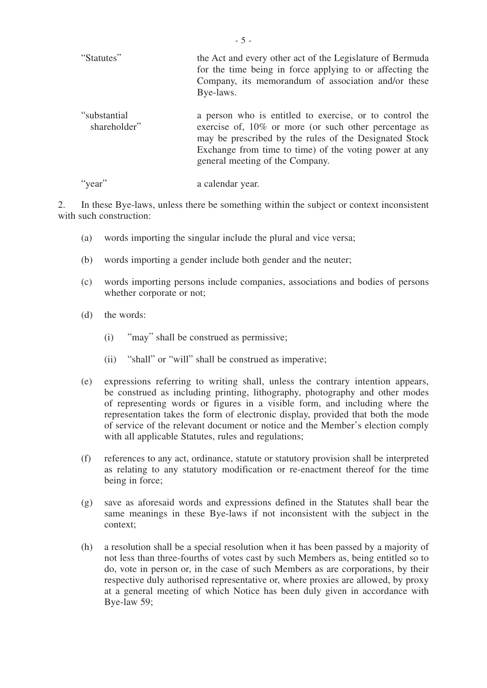| "Statutes"                   | the Act and every other act of the Legislature of Bermuda<br>for the time being in force applying to or affecting the<br>Company, its memorandum of association and/or these<br>Bye-laws.                                                                               |
|------------------------------|-------------------------------------------------------------------------------------------------------------------------------------------------------------------------------------------------------------------------------------------------------------------------|
| "substantial<br>shareholder" | a person who is entitled to exercise, or to control the<br>exercise of, 10% or more (or such other percentage as<br>may be prescribed by the rules of the Designated Stock<br>Exchange from time to time) of the voting power at any<br>general meeting of the Company. |

"year" a calendar year.

2. In these Bye-laws, unless there be something within the subject or context inconsistent with such construction:

- (a) words importing the singular include the plural and vice versa;
- (b) words importing a gender include both gender and the neuter;
- (c) words importing persons include companies, associations and bodies of persons whether corporate or not;
- (d) the words:
	- (i) "may" shall be construed as permissive;
	- (ii) "shall" or "will" shall be construed as imperative;
- (e) expressions referring to writing shall, unless the contrary intention appears, be construed as including printing, lithography, photography and other modes of representing words or figures in a visible form, and including where the representation takes the form of electronic display, provided that both the mode of service of the relevant document or notice and the Member's election comply with all applicable Statutes, rules and regulations;
- (f) references to any act, ordinance, statute or statutory provision shall be interpreted as relating to any statutory modification or re-enactment thereof for the time being in force;
- (g) save as aforesaid words and expressions defined in the Statutes shall bear the same meanings in these Bye-laws if not inconsistent with the subject in the context;
- (h) a resolution shall be a special resolution when it has been passed by a majority of not less than three-fourths of votes cast by such Members as, being entitled so to do, vote in person or, in the case of such Members as are corporations, by their respective duly authorised representative or, where proxies are allowed, by proxy at a general meeting of which Notice has been duly given in accordance with Bye-law 59;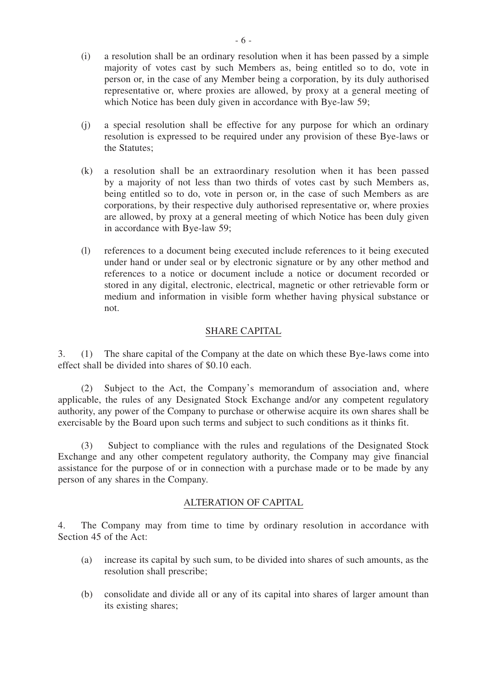- (i) a resolution shall be an ordinary resolution when it has been passed by a simple majority of votes cast by such Members as, being entitled so to do, vote in person or, in the case of any Member being a corporation, by its duly authorised representative or, where proxies are allowed, by proxy at a general meeting of which Notice has been duly given in accordance with Bye-law 59;
- (j) a special resolution shall be effective for any purpose for which an ordinary resolution is expressed to be required under any provision of these Bye-laws or the Statutes;
- (k) a resolution shall be an extraordinary resolution when it has been passed by a majority of not less than two thirds of votes cast by such Members as, being entitled so to do, vote in person or, in the case of such Members as are corporations, by their respective duly authorised representative or, where proxies are allowed, by proxy at a general meeting of which Notice has been duly given in accordance with Bye-law 59;
- (l) references to a document being executed include references to it being executed under hand or under seal or by electronic signature or by any other method and references to a notice or document include a notice or document recorded or stored in any digital, electronic, electrical, magnetic or other retrievable form or medium and information in visible form whether having physical substance or not.

## SHARE CAPITAL

3. (1) The share capital of the Company at the date on which these Bye-laws come into effect shall be divided into shares of \$0.10 each.

 (2) Subject to the Act, the Company's memorandum of association and, where applicable, the rules of any Designated Stock Exchange and/or any competent regulatory authority, any power of the Company to purchase or otherwise acquire its own shares shall be exercisable by the Board upon such terms and subject to such conditions as it thinks fit.

 (3) Subject to compliance with the rules and regulations of the Designated Stock Exchange and any other competent regulatory authority, the Company may give financial assistance for the purpose of or in connection with a purchase made or to be made by any person of any shares in the Company.

#### ALTERATION OF CAPITAL

4. The Company may from time to time by ordinary resolution in accordance with Section 45 of the Act:

- (a) increase its capital by such sum, to be divided into shares of such amounts, as the resolution shall prescribe;
- (b) consolidate and divide all or any of its capital into shares of larger amount than its existing shares;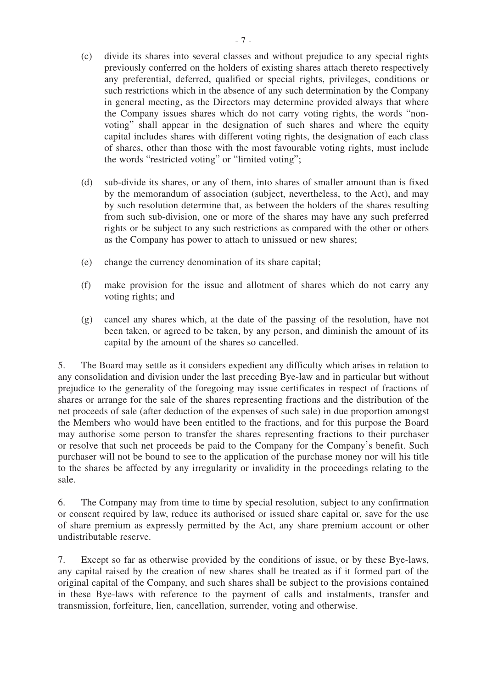- (c) divide its shares into several classes and without prejudice to any special rights previously conferred on the holders of existing shares attach thereto respectively any preferential, deferred, qualified or special rights, privileges, conditions or such restrictions which in the absence of any such determination by the Company in general meeting, as the Directors may determine provided always that where the Company issues shares which do not carry voting rights, the words "nonvoting" shall appear in the designation of such shares and where the equity capital includes shares with different voting rights, the designation of each class of shares, other than those with the most favourable voting rights, must include the words "restricted voting" or "limited voting";
- (d) sub-divide its shares, or any of them, into shares of smaller amount than is fixed by the memorandum of association (subject, nevertheless, to the Act), and may by such resolution determine that, as between the holders of the shares resulting from such sub-division, one or more of the shares may have any such preferred rights or be subject to any such restrictions as compared with the other or others as the Company has power to attach to unissued or new shares;
- (e) change the currency denomination of its share capital;
- (f) make provision for the issue and allotment of shares which do not carry any voting rights; and
- (g) cancel any shares which, at the date of the passing of the resolution, have not been taken, or agreed to be taken, by any person, and diminish the amount of its capital by the amount of the shares so cancelled.

5. The Board may settle as it considers expedient any difficulty which arises in relation to any consolidation and division under the last preceding Bye-law and in particular but without prejudice to the generality of the foregoing may issue certificates in respect of fractions of shares or arrange for the sale of the shares representing fractions and the distribution of the net proceeds of sale (after deduction of the expenses of such sale) in due proportion amongst the Members who would have been entitled to the fractions, and for this purpose the Board may authorise some person to transfer the shares representing fractions to their purchaser or resolve that such net proceeds be paid to the Company for the Company's benefit. Such purchaser will not be bound to see to the application of the purchase money nor will his title to the shares be affected by any irregularity or invalidity in the proceedings relating to the sale.

6. The Company may from time to time by special resolution, subject to any confirmation or consent required by law, reduce its authorised or issued share capital or, save for the use of share premium as expressly permitted by the Act, any share premium account or other undistributable reserve.

7. Except so far as otherwise provided by the conditions of issue, or by these Bye-laws, any capital raised by the creation of new shares shall be treated as if it formed part of the original capital of the Company, and such shares shall be subject to the provisions contained in these Bye-laws with reference to the payment of calls and instalments, transfer and transmission, forfeiture, lien, cancellation, surrender, voting and otherwise.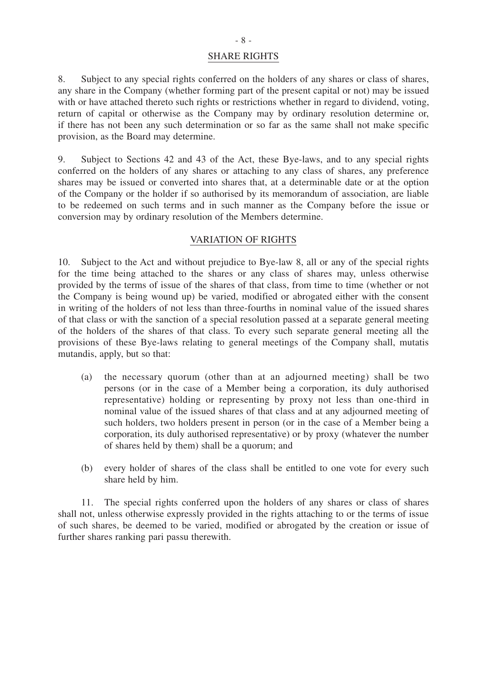#### SHARE RIGHTS

8. Subject to any special rights conferred on the holders of any shares or class of shares, any share in the Company (whether forming part of the present capital or not) may be issued with or have attached thereto such rights or restrictions whether in regard to dividend, voting, return of capital or otherwise as the Company may by ordinary resolution determine or, if there has not been any such determination or so far as the same shall not make specific provision, as the Board may determine.

9. Subject to Sections 42 and 43 of the Act, these Bye-laws, and to any special rights conferred on the holders of any shares or attaching to any class of shares, any preference shares may be issued or converted into shares that, at a determinable date or at the option of the Company or the holder if so authorised by its memorandum of association, are liable to be redeemed on such terms and in such manner as the Company before the issue or conversion may by ordinary resolution of the Members determine.

## VARIATION OF RIGHTS

10. Subject to the Act and without prejudice to Bye-law 8, all or any of the special rights for the time being attached to the shares or any class of shares may, unless otherwise provided by the terms of issue of the shares of that class, from time to time (whether or not the Company is being wound up) be varied, modified or abrogated either with the consent in writing of the holders of not less than three-fourths in nominal value of the issued shares of that class or with the sanction of a special resolution passed at a separate general meeting of the holders of the shares of that class. To every such separate general meeting all the provisions of these Bye-laws relating to general meetings of the Company shall, mutatis mutandis, apply, but so that:

- (a) the necessary quorum (other than at an adjourned meeting) shall be two persons (or in the case of a Member being a corporation, its duly authorised representative) holding or representing by proxy not less than one-third in nominal value of the issued shares of that class and at any adjourned meeting of such holders, two holders present in person (or in the case of a Member being a corporation, its duly authorised representative) or by proxy (whatever the number of shares held by them) shall be a quorum; and
- (b) every holder of shares of the class shall be entitled to one vote for every such share held by him.

 11. The special rights conferred upon the holders of any shares or class of shares shall not, unless otherwise expressly provided in the rights attaching to or the terms of issue of such shares, be deemed to be varied, modified or abrogated by the creation or issue of further shares ranking pari passu therewith.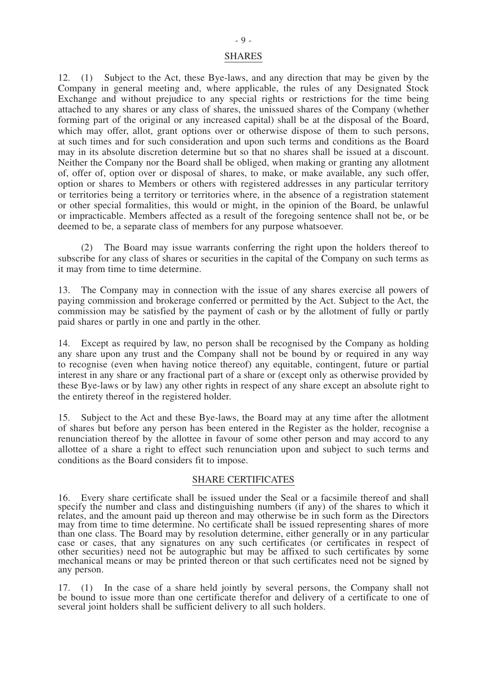12. (1) Subject to the Act, these Bye-laws, and any direction that may be given by the Company in general meeting and, where applicable, the rules of any Designated Stock Exchange and without prejudice to any special rights or restrictions for the time being attached to any shares or any class of shares, the unissued shares of the Company (whether forming part of the original or any increased capital) shall be at the disposal of the Board, which may offer, allot, grant options over or otherwise dispose of them to such persons, at such times and for such consideration and upon such terms and conditions as the Board may in its absolute discretion determine but so that no shares shall be issued at a discount. Neither the Company nor the Board shall be obliged, when making or granting any allotment of, offer of, option over or disposal of shares, to make, or make available, any such offer, option or shares to Members or others with registered addresses in any particular territory or territories being a territory or territories where, in the absence of a registration statement or other special formalities, this would or might, in the opinion of the Board, be unlawful or impracticable. Members affected as a result of the foregoing sentence shall not be, or be deemed to be, a separate class of members for any purpose whatsoever.

 (2) The Board may issue warrants conferring the right upon the holders thereof to subscribe for any class of shares or securities in the capital of the Company on such terms as it may from time to time determine.

13. The Company may in connection with the issue of any shares exercise all powers of paying commission and brokerage conferred or permitted by the Act. Subject to the Act, the commission may be satisfied by the payment of cash or by the allotment of fully or partly paid shares or partly in one and partly in the other.

14. Except as required by law, no person shall be recognised by the Company as holding any share upon any trust and the Company shall not be bound by or required in any way to recognise (even when having notice thereof) any equitable, contingent, future or partial interest in any share or any fractional part of a share or (except only as otherwise provided by these Bye-laws or by law) any other rights in respect of any share except an absolute right to the entirety thereof in the registered holder.

15. Subject to the Act and these Bye-laws, the Board may at any time after the allotment of shares but before any person has been entered in the Register as the holder, recognise a renunciation thereof by the allottee in favour of some other person and may accord to any allottee of a share a right to effect such renunciation upon and subject to such terms and conditions as the Board considers fit to impose.

#### SHARE CERTIFICATES

16. Every share certificate shall be issued under the Seal or a facsimile thereof and shall specify the number and class and distinguishing numbers (if any) of the shares to which it relates, and the amount paid up thereon and may otherwise be in such form as the Directors may from time to time determine. No certificate shall be issued representing shares of more than one class. The Board may by resolution determine, either generally or in any particular case or cases, that any signatures on any such certificates (or certificates in respect of other securities) need not be autographic but may be affixed to such certificates by some mechanical means or may be printed thereon or that such certificates need not be signed by any person.

17. (1) In the case of a share held jointly by several persons, the Company shall not be bound to issue more than one certificate therefor and delivery of a certificate to one of several joint holders shall be sufficient delivery to all such holders.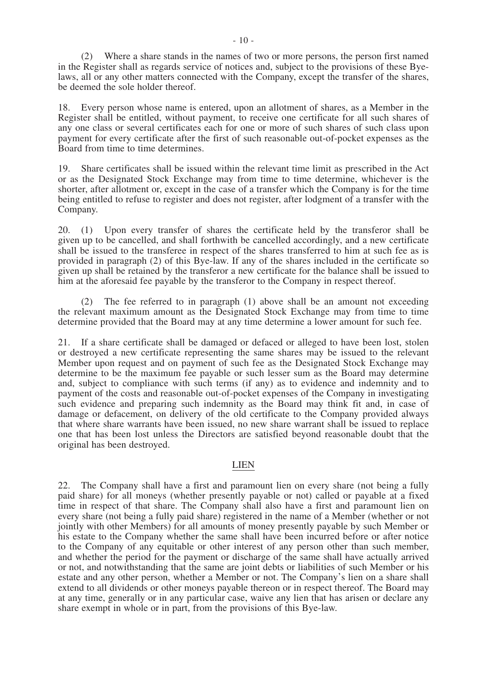(2) Where a share stands in the names of two or more persons, the person first named in the Register shall as regards service of notices and, subject to the provisions of these Byelaws, all or any other matters connected with the Company, except the transfer of the shares, be deemed the sole holder thereof.

18. Every person whose name is entered, upon an allotment of shares, as a Member in the Register shall be entitled, without payment, to receive one certificate for all such shares of any one class or several certificates each for one or more of such shares of such class upon payment for every certificate after the first of such reasonable out-of-pocket expenses as the Board from time to time determines.

19. Share certificates shall be issued within the relevant time limit as prescribed in the Act or as the Designated Stock Exchange may from time to time determine, whichever is the shorter, after allotment or, except in the case of a transfer which the Company is for the time being entitled to refuse to register and does not register, after lodgment of a transfer with the Company.

20. (1) Upon every transfer of shares the certificate held by the transferor shall be given up to be cancelled, and shall forthwith be cancelled accordingly, and a new certificate shall be issued to the transferee in respect of the shares transferred to him at such fee as is provided in paragraph (2) of this Bye-law. If any of the shares included in the certificate so given up shall be retained by the transferor a new certificate for the balance shall be issued to him at the aforesaid fee payable by the transferor to the Company in respect thereof.

 (2) The fee referred to in paragraph (1) above shall be an amount not exceeding the relevant maximum amount as the Designated Stock Exchange may from time to time determine provided that the Board may at any time determine a lower amount for such fee.

21. If a share certificate shall be damaged or defaced or alleged to have been lost, stolen or destroyed a new certificate representing the same shares may be issued to the relevant Member upon request and on payment of such fee as the Designated Stock Exchange may determine to be the maximum fee payable or such lesser sum as the Board may determine and, subject to compliance with such terms (if any) as to evidence and indemnity and to payment of the costs and reasonable out-of-pocket expenses of the Company in investigating such evidence and preparing such indemnity as the Board may think fit and, in case of damage or defacement, on delivery of the old certificate to the Company provided always that where share warrants have been issued, no new share warrant shall be issued to replace one that has been lost unless the Directors are satisfied beyond reasonable doubt that the original has been destroyed.

#### LIEN

22. The Company shall have a first and paramount lien on every share (not being a fully paid share) for all moneys (whether presently payable or not) called or payable at a fixed time in respect of that share. The Company shall also have a first and paramount lien on every share (not being a fully paid share) registered in the name of a Member (whether or not jointly with other Members) for all amounts of money presently payable by such Member or his estate to the Company whether the same shall have been incurred before or after notice to the Company of any equitable or other interest of any person other than such member, and whether the period for the payment or discharge of the same shall have actually arrived or not, and notwithstanding that the same are joint debts or liabilities of such Member or his estate and any other person, whether a Member or not. The Company's lien on a share shall extend to all dividends or other moneys payable thereon or in respect thereof. The Board may at any time, generally or in any particular case, waive any lien that has arisen or declare any share exempt in whole or in part, from the provisions of this Bye-law.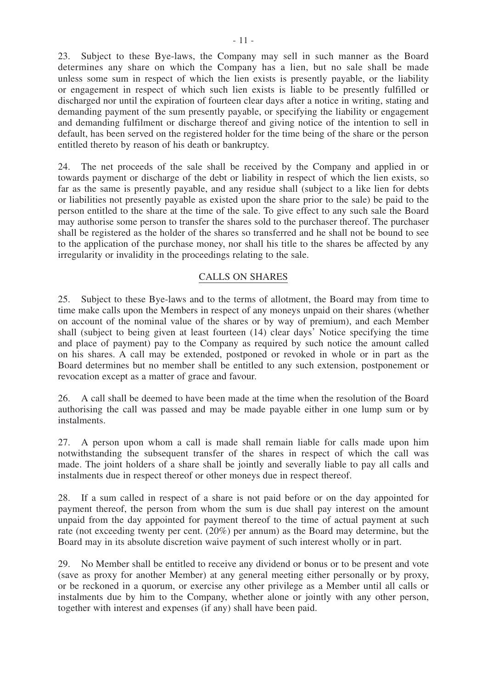23. Subject to these Bye-laws, the Company may sell in such manner as the Board determines any share on which the Company has a lien, but no sale shall be made unless some sum in respect of which the lien exists is presently payable, or the liability or engagement in respect of which such lien exists is liable to be presently fulfilled or discharged nor until the expiration of fourteen clear days after a notice in writing, stating and demanding payment of the sum presently payable, or specifying the liability or engagement and demanding fulfilment or discharge thereof and giving notice of the intention to sell in default, has been served on the registered holder for the time being of the share or the person entitled thereto by reason of his death or bankruptcy.

24. The net proceeds of the sale shall be received by the Company and applied in or towards payment or discharge of the debt or liability in respect of which the lien exists, so far as the same is presently payable, and any residue shall (subject to a like lien for debts or liabilities not presently payable as existed upon the share prior to the sale) be paid to the person entitled to the share at the time of the sale. To give effect to any such sale the Board may authorise some person to transfer the shares sold to the purchaser thereof. The purchaser shall be registered as the holder of the shares so transferred and he shall not be bound to see to the application of the purchase money, nor shall his title to the shares be affected by any irregularity or invalidity in the proceedings relating to the sale.

## CALLS ON SHARES

25. Subject to these Bye-laws and to the terms of allotment, the Board may from time to time make calls upon the Members in respect of any moneys unpaid on their shares (whether on account of the nominal value of the shares or by way of premium), and each Member shall (subject to being given at least fourteen (14) clear days' Notice specifying the time and place of payment) pay to the Company as required by such notice the amount called on his shares. A call may be extended, postponed or revoked in whole or in part as the Board determines but no member shall be entitled to any such extension, postponement or revocation except as a matter of grace and favour.

26. A call shall be deemed to have been made at the time when the resolution of the Board authorising the call was passed and may be made payable either in one lump sum or by instalments.

27. A person upon whom a call is made shall remain liable for calls made upon him notwithstanding the subsequent transfer of the shares in respect of which the call was made. The joint holders of a share shall be jointly and severally liable to pay all calls and instalments due in respect thereof or other moneys due in respect thereof.

28. If a sum called in respect of a share is not paid before or on the day appointed for payment thereof, the person from whom the sum is due shall pay interest on the amount unpaid from the day appointed for payment thereof to the time of actual payment at such rate (not exceeding twenty per cent. (20%) per annum) as the Board may determine, but the Board may in its absolute discretion waive payment of such interest wholly or in part.

29. No Member shall be entitled to receive any dividend or bonus or to be present and vote (save as proxy for another Member) at any general meeting either personally or by proxy, or be reckoned in a quorum, or exercise any other privilege as a Member until all calls or instalments due by him to the Company, whether alone or jointly with any other person, together with interest and expenses (if any) shall have been paid.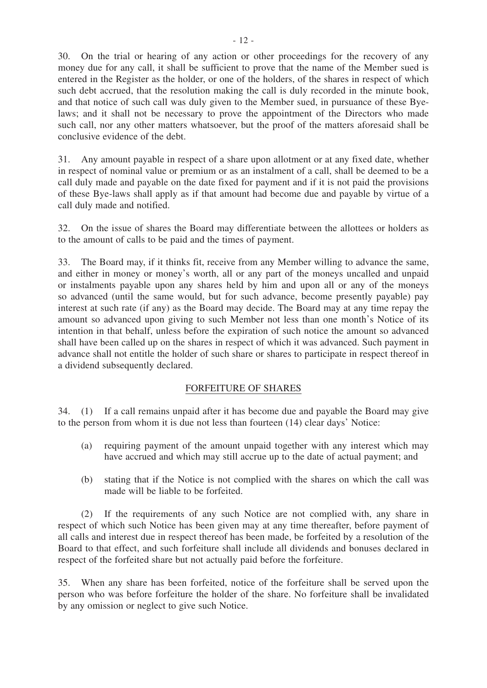30. On the trial or hearing of any action or other proceedings for the recovery of any money due for any call, it shall be sufficient to prove that the name of the Member sued is entered in the Register as the holder, or one of the holders, of the shares in respect of which such debt accrued, that the resolution making the call is duly recorded in the minute book, and that notice of such call was duly given to the Member sued, in pursuance of these Byelaws; and it shall not be necessary to prove the appointment of the Directors who made such call, nor any other matters whatsoever, but the proof of the matters aforesaid shall be conclusive evidence of the debt.

31. Any amount payable in respect of a share upon allotment or at any fixed date, whether in respect of nominal value or premium or as an instalment of a call, shall be deemed to be a call duly made and payable on the date fixed for payment and if it is not paid the provisions of these Bye-laws shall apply as if that amount had become due and payable by virtue of a call duly made and notified.

32. On the issue of shares the Board may differentiate between the allottees or holders as to the amount of calls to be paid and the times of payment.

33. The Board may, if it thinks fit, receive from any Member willing to advance the same, and either in money or money's worth, all or any part of the moneys uncalled and unpaid or instalments payable upon any shares held by him and upon all or any of the moneys so advanced (until the same would, but for such advance, become presently payable) pay interest at such rate (if any) as the Board may decide. The Board may at any time repay the amount so advanced upon giving to such Member not less than one month's Notice of its intention in that behalf, unless before the expiration of such notice the amount so advanced shall have been called up on the shares in respect of which it was advanced. Such payment in advance shall not entitle the holder of such share or shares to participate in respect thereof in a dividend subsequently declared.

## FORFEITURE OF SHARES

34. (1) If a call remains unpaid after it has become due and payable the Board may give to the person from whom it is due not less than fourteen (14) clear days' Notice:

- (a) requiring payment of the amount unpaid together with any interest which may have accrued and which may still accrue up to the date of actual payment; and
- (b) stating that if the Notice is not complied with the shares on which the call was made will be liable to be forfeited.

 (2) If the requirements of any such Notice are not complied with, any share in respect of which such Notice has been given may at any time thereafter, before payment of all calls and interest due in respect thereof has been made, be forfeited by a resolution of the Board to that effect, and such forfeiture shall include all dividends and bonuses declared in respect of the forfeited share but not actually paid before the forfeiture.

35. When any share has been forfeited, notice of the forfeiture shall be served upon the person who was before forfeiture the holder of the share. No forfeiture shall be invalidated by any omission or neglect to give such Notice.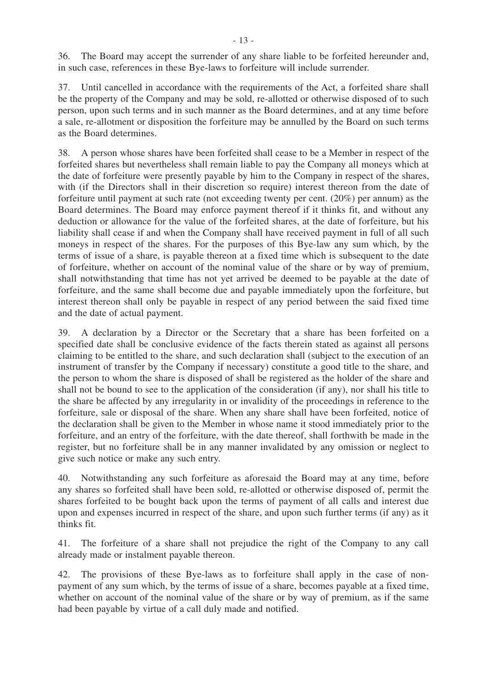36. The Board may accept the surrender of any share liable to be forfeited hereunder and, in such case, references in these Bye-laws to forfeiture will include surrender.

37. Until cancelled in accordance with the requirements of the Act, a forfeited share shall be the property of the Company and may be sold, re-allotted or otherwise disposed of to such person, upon such terms and in such manner as the Board determines, and at any time before a sale, re-allotment or disposition the forfeiture may be annulled by the Board on such terms as the Board determines.

38. A person whose shares have been forfeited shall cease to be a Member in respect of the forfeited shares but nevertheless shall remain liable to pay the Company all moneys which at the date of forfeiture were presently payable by him to the Company in respect of the shares, with (if the Directors shall in their discretion so require) interest thereon from the date of forfeiture until payment at such rate (not exceeding twenty per cent. (20%) per annum) as the Board determines. The Board may enforce payment thereof if it thinks fit, and without any deduction or allowance for the value of the forfeited shares, at the date of forfeiture, but his liability shall cease if and when the Company shall have received payment in full of all such moneys in respect of the shares. For the purposes of this Bye-law any sum which, by the terms of issue of a share, is payable thereon at a fixed time which is subsequent to the date of forfeiture, whether on account of the nominal value of the share or by way of premium, shall notwithstanding that time has not yet arrived be deemed to be payable at the date of forfeiture, and the same shall become due and payable immediately upon the forfeiture, but interest thereon shall only be payable in respect of any period between the said fixed time and the date of actual payment.

39. A declaration by a Director or the Secretary that a share has been forfeited on a specified date shall be conclusive evidence of the facts therein stated as against all persons claiming to be entitled to the share, and such declaration shall (subject to the execution of an instrument of transfer by the Company if necessary) constitute a good title to the share, and the person to whom the share is disposed of shall be registered as the holder of the share and shall not be bound to see to the application of the consideration (if any), nor shall his title to the share be affected by any irregularity in or invalidity of the proceedings in reference to the forfeiture, sale or disposal of the share. When any share shall have been forfeited, notice of the declaration shall be given to the Member in whose name it stood immediately prior to the forfeiture, and an entry of the forfeiture, with the date thereof, shall forthwith be made in the register, but no forfeiture shall be in any manner invalidated by any omission or neglect to give such notice or make any such entry.

40. Notwithstanding any such forfeiture as aforesaid the Board may at any time, before any shares so forfeited shall have been sold, re-allotted or otherwise disposed of, permit the shares forfeited to be bought back upon the terms of payment of all calls and interest due upon and expenses incurred in respect of the share, and upon such further terms (if any) as it thinks fit.

41. The forfeiture of a share shall not prejudice the right of the Company to any call already made or instalment payable thereon.

42. The provisions of these Bye-laws as to forfeiture shall apply in the case of nonpayment of any sum which, by the terms of issue of a share, becomes payable at a fixed time, whether on account of the nominal value of the share or by way of premium, as if the same had been payable by virtue of a call duly made and notified.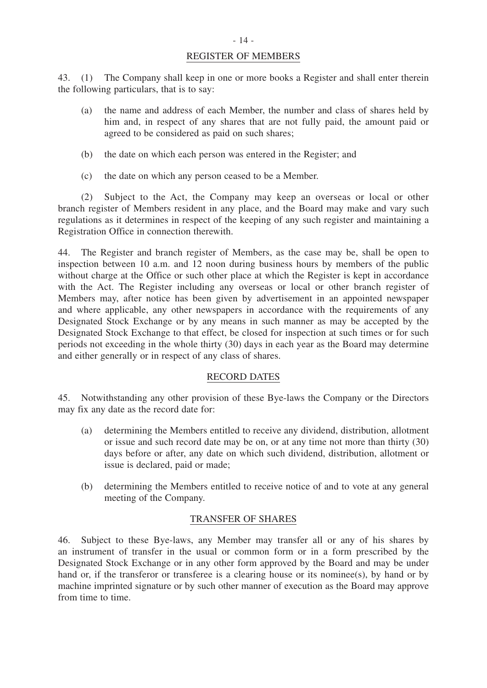#### REGISTER OF MEMBERS

43. (1) The Company shall keep in one or more books a Register and shall enter therein the following particulars, that is to say:

- (a) the name and address of each Member, the number and class of shares held by him and, in respect of any shares that are not fully paid, the amount paid or agreed to be considered as paid on such shares;
- (b) the date on which each person was entered in the Register; and
- (c) the date on which any person ceased to be a Member.

 (2) Subject to the Act, the Company may keep an overseas or local or other branch register of Members resident in any place, and the Board may make and vary such regulations as it determines in respect of the keeping of any such register and maintaining a Registration Office in connection therewith.

44. The Register and branch register of Members, as the case may be, shall be open to inspection between 10 a.m. and 12 noon during business hours by members of the public without charge at the Office or such other place at which the Register is kept in accordance with the Act. The Register including any overseas or local or other branch register of Members may, after notice has been given by advertisement in an appointed newspaper and where applicable, any other newspapers in accordance with the requirements of any Designated Stock Exchange or by any means in such manner as may be accepted by the Designated Stock Exchange to that effect, be closed for inspection at such times or for such periods not exceeding in the whole thirty (30) days in each year as the Board may determine and either generally or in respect of any class of shares.

#### RECORD DATES

45. Notwithstanding any other provision of these Bye-laws the Company or the Directors may fix any date as the record date for:

- (a) determining the Members entitled to receive any dividend, distribution, allotment or issue and such record date may be on, or at any time not more than thirty (30) days before or after, any date on which such dividend, distribution, allotment or issue is declared, paid or made;
- (b) determining the Members entitled to receive notice of and to vote at any general meeting of the Company.

## TRANSFER OF SHARES

46. Subject to these Bye-laws, any Member may transfer all or any of his shares by an instrument of transfer in the usual or common form or in a form prescribed by the Designated Stock Exchange or in any other form approved by the Board and may be under hand or, if the transferor or transferee is a clearing house or its nominee(s), by hand or by machine imprinted signature or by such other manner of execution as the Board may approve from time to time.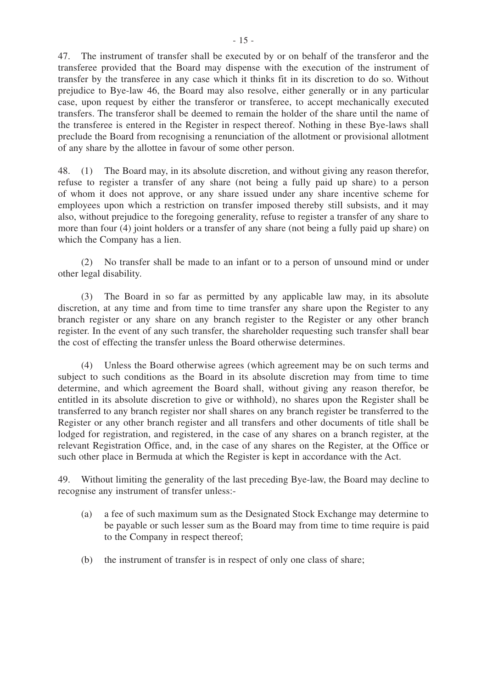47. The instrument of transfer shall be executed by or on behalf of the transferor and the transferee provided that the Board may dispense with the execution of the instrument of transfer by the transferee in any case which it thinks fit in its discretion to do so. Without prejudice to Bye-law 46, the Board may also resolve, either generally or in any particular case, upon request by either the transferor or transferee, to accept mechanically executed transfers. The transferor shall be deemed to remain the holder of the share until the name of the transferee is entered in the Register in respect thereof. Nothing in these Bye-laws shall preclude the Board from recognising a renunciation of the allotment or provisional allotment of any share by the allottee in favour of some other person.

48. (1) The Board may, in its absolute discretion, and without giving any reason therefor, refuse to register a transfer of any share (not being a fully paid up share) to a person of whom it does not approve, or any share issued under any share incentive scheme for employees upon which a restriction on transfer imposed thereby still subsists, and it may also, without prejudice to the foregoing generality, refuse to register a transfer of any share to more than four (4) joint holders or a transfer of any share (not being a fully paid up share) on which the Company has a lien.

 (2) No transfer shall be made to an infant or to a person of unsound mind or under other legal disability.

 (3) The Board in so far as permitted by any applicable law may, in its absolute discretion, at any time and from time to time transfer any share upon the Register to any branch register or any share on any branch register to the Register or any other branch register. In the event of any such transfer, the shareholder requesting such transfer shall bear the cost of effecting the transfer unless the Board otherwise determines.

 (4) Unless the Board otherwise agrees (which agreement may be on such terms and subject to such conditions as the Board in its absolute discretion may from time to time determine, and which agreement the Board shall, without giving any reason therefor, be entitled in its absolute discretion to give or withhold), no shares upon the Register shall be transferred to any branch register nor shall shares on any branch register be transferred to the Register or any other branch register and all transfers and other documents of title shall be lodged for registration, and registered, in the case of any shares on a branch register, at the relevant Registration Office, and, in the case of any shares on the Register, at the Office or such other place in Bermuda at which the Register is kept in accordance with the Act.

49. Without limiting the generality of the last preceding Bye-law, the Board may decline to recognise any instrument of transfer unless:-

- (a) a fee of such maximum sum as the Designated Stock Exchange may determine to be payable or such lesser sum as the Board may from time to time require is paid to the Company in respect thereof;
- (b) the instrument of transfer is in respect of only one class of share;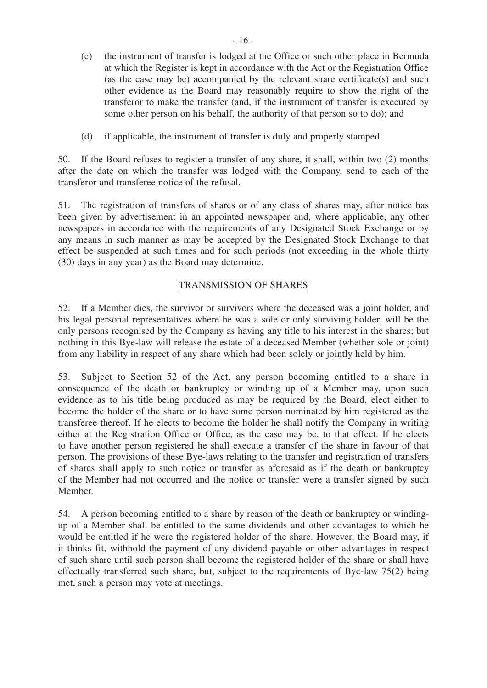- (c) the instrument of transfer is lodged at the Office or such other place in Bermuda at which the Register is kept in accordance with the Act or the Registration Office (as the case may be) accompanied by the relevant share certificate(s) and such other evidence as the Board may reasonably require to show the right of the transferor to make the transfer (and, if the instrument of transfer is executed by some other person on his behalf, the authority of that person so to do); and
- (d) if applicable, the instrument of transfer is duly and properly stamped.

50. If the Board refuses to register a transfer of any share, it shall, within two (2) months after the date on which the transfer was lodged with the Company, send to each of the transferor and transferee notice of the refusal.

51. The registration of transfers of shares or of any class of shares may, after notice has been given by advertisement in an appointed newspaper and, where applicable, any other newspapers in accordance with the requirements of any Designated Stock Exchange or by any means in such manner as may be accepted by the Designated Stock Exchange to that effect be suspended at such times and for such periods (not exceeding in the whole thirty (30) days in any year) as the Board may determine.

## TRANSMISSION OF SHARES

52. If a Member dies, the survivor or survivors where the deceased was a joint holder, and his legal personal representatives where he was a sole or only surviving holder, will be the only persons recognised by the Company as having any title to his interest in the shares; but nothing in this Bye-law will release the estate of a deceased Member (whether sole or joint) from any liability in respect of any share which had been solely or jointly held by him.

53. Subject to Section 52 of the Act, any person becoming entitled to a share in consequence of the death or bankruptcy or winding up of a Member may, upon such evidence as to his title being produced as may be required by the Board, elect either to become the holder of the share or to have some person nominated by him registered as the transferee thereof. If he elects to become the holder he shall notify the Company in writing either at the Registration Office or Office, as the case may be, to that effect. If he elects to have another person registered he shall execute a transfer of the share in favour of that person. The provisions of these Bye-laws relating to the transfer and registration of transfers of shares shall apply to such notice or transfer as aforesaid as if the death or bankruptcy of the Member had not occurred and the notice or transfer were a transfer signed by such Member.

54. A person becoming entitled to a share by reason of the death or bankruptcy or windingup of a Member shall be entitled to the same dividends and other advantages to which he would be entitled if he were the registered holder of the share. However, the Board may, if it thinks fit, withhold the payment of any dividend payable or other advantages in respect of such share until such person shall become the registered holder of the share or shall have effectually transferred such share, but, subject to the requirements of Bye-law 75(2) being met, such a person may vote at meetings.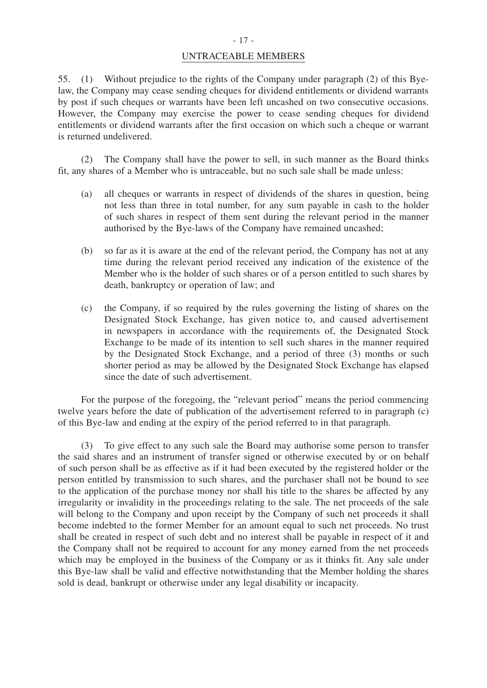#### UNTRACEABLE MEMBERS

55. (1) Without prejudice to the rights of the Company under paragraph (2) of this Byelaw, the Company may cease sending cheques for dividend entitlements or dividend warrants by post if such cheques or warrants have been left uncashed on two consecutive occasions. However, the Company may exercise the power to cease sending cheques for dividend entitlements or dividend warrants after the first occasion on which such a cheque or warrant is returned undelivered.

 (2) The Company shall have the power to sell, in such manner as the Board thinks fit, any shares of a Member who is untraceable, but no such sale shall be made unless:

- (a) all cheques or warrants in respect of dividends of the shares in question, being not less than three in total number, for any sum payable in cash to the holder of such shares in respect of them sent during the relevant period in the manner authorised by the Bye-laws of the Company have remained uncashed;
- (b) so far as it is aware at the end of the relevant period, the Company has not at any time during the relevant period received any indication of the existence of the Member who is the holder of such shares or of a person entitled to such shares by death, bankruptcy or operation of law; and
- (c) the Company, if so required by the rules governing the listing of shares on the Designated Stock Exchange, has given notice to, and caused advertisement in newspapers in accordance with the requirements of, the Designated Stock Exchange to be made of its intention to sell such shares in the manner required by the Designated Stock Exchange, and a period of three (3) months or such shorter period as may be allowed by the Designated Stock Exchange has elapsed since the date of such advertisement.

For the purpose of the foregoing, the "relevant period" means the period commencing twelve years before the date of publication of the advertisement referred to in paragraph (c) of this Bye-law and ending at the expiry of the period referred to in that paragraph.

 (3) To give effect to any such sale the Board may authorise some person to transfer the said shares and an instrument of transfer signed or otherwise executed by or on behalf of such person shall be as effective as if it had been executed by the registered holder or the person entitled by transmission to such shares, and the purchaser shall not be bound to see to the application of the purchase money nor shall his title to the shares be affected by any irregularity or invalidity in the proceedings relating to the sale. The net proceeds of the sale will belong to the Company and upon receipt by the Company of such net proceeds it shall become indebted to the former Member for an amount equal to such net proceeds. No trust shall be created in respect of such debt and no interest shall be payable in respect of it and the Company shall not be required to account for any money earned from the net proceeds which may be employed in the business of the Company or as it thinks fit. Any sale under this Bye-law shall be valid and effective notwithstanding that the Member holding the shares sold is dead, bankrupt or otherwise under any legal disability or incapacity.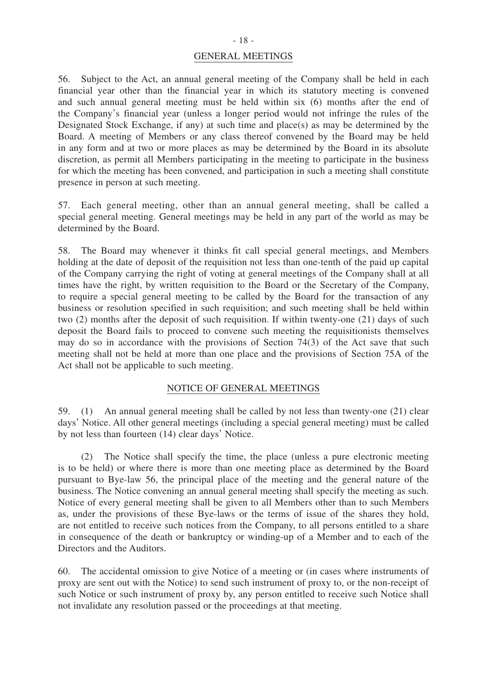#### GENERAL MEETINGS

56. Subject to the Act, an annual general meeting of the Company shall be held in each financial year other than the financial year in which its statutory meeting is convened and such annual general meeting must be held within six (6) months after the end of the Company's financial year (unless a longer period would not infringe the rules of the Designated Stock Exchange, if any) at such time and place(s) as may be determined by the Board. A meeting of Members or any class thereof convened by the Board may be held in any form and at two or more places as may be determined by the Board in its absolute discretion, as permit all Members participating in the meeting to participate in the business for which the meeting has been convened, and participation in such a meeting shall constitute presence in person at such meeting.

57. Each general meeting, other than an annual general meeting, shall be called a special general meeting. General meetings may be held in any part of the world as may be determined by the Board.

58. The Board may whenever it thinks fit call special general meetings, and Members holding at the date of deposit of the requisition not less than one-tenth of the paid up capital of the Company carrying the right of voting at general meetings of the Company shall at all times have the right, by written requisition to the Board or the Secretary of the Company, to require a special general meeting to be called by the Board for the transaction of any business or resolution specified in such requisition; and such meeting shall be held within two (2) months after the deposit of such requisition. If within twenty-one (21) days of such deposit the Board fails to proceed to convene such meeting the requisitionists themselves may do so in accordance with the provisions of Section 74(3) of the Act save that such meeting shall not be held at more than one place and the provisions of Section 75A of the Act shall not be applicable to such meeting.

#### NOTICE OF GENERAL MEETINGS

59. (1) An annual general meeting shall be called by not less than twenty-one (21) clear days' Notice. All other general meetings (including a special general meeting) must be called by not less than fourteen (14) clear days' Notice.

 (2) The Notice shall specify the time, the place (unless a pure electronic meeting is to be held) or where there is more than one meeting place as determined by the Board pursuant to Bye-law 56, the principal place of the meeting and the general nature of the business. The Notice convening an annual general meeting shall specify the meeting as such. Notice of every general meeting shall be given to all Members other than to such Members as, under the provisions of these Bye-laws or the terms of issue of the shares they hold, are not entitled to receive such notices from the Company, to all persons entitled to a share in consequence of the death or bankruptcy or winding-up of a Member and to each of the Directors and the Auditors.

60. The accidental omission to give Notice of a meeting or (in cases where instruments of proxy are sent out with the Notice) to send such instrument of proxy to, or the non-receipt of such Notice or such instrument of proxy by, any person entitled to receive such Notice shall not invalidate any resolution passed or the proceedings at that meeting.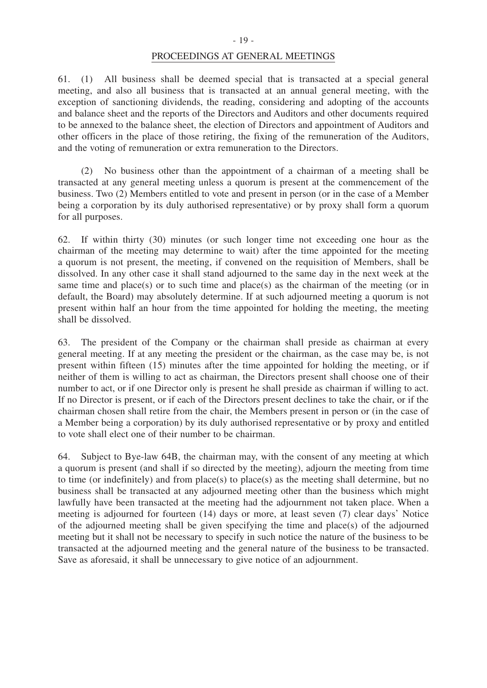#### PROCEEDINGS AT GENERAL MEETINGS

61. (1) All business shall be deemed special that is transacted at a special general meeting, and also all business that is transacted at an annual general meeting, with the exception of sanctioning dividends, the reading, considering and adopting of the accounts and balance sheet and the reports of the Directors and Auditors and other documents required to be annexed to the balance sheet, the election of Directors and appointment of Auditors and other officers in the place of those retiring, the fixing of the remuneration of the Auditors, and the voting of remuneration or extra remuneration to the Directors.

 (2) No business other than the appointment of a chairman of a meeting shall be transacted at any general meeting unless a quorum is present at the commencement of the business. Two (2) Members entitled to vote and present in person (or in the case of a Member being a corporation by its duly authorised representative) or by proxy shall form a quorum for all purposes.

62. If within thirty (30) minutes (or such longer time not exceeding one hour as the chairman of the meeting may determine to wait) after the time appointed for the meeting a quorum is not present, the meeting, if convened on the requisition of Members, shall be dissolved. In any other case it shall stand adjourned to the same day in the next week at the same time and place(s) or to such time and place(s) as the chairman of the meeting (or in default, the Board) may absolutely determine. If at such adjourned meeting a quorum is not present within half an hour from the time appointed for holding the meeting, the meeting shall be dissolved.

63. The president of the Company or the chairman shall preside as chairman at every general meeting. If at any meeting the president or the chairman, as the case may be, is not present within fifteen (15) minutes after the time appointed for holding the meeting, or if neither of them is willing to act as chairman, the Directors present shall choose one of their number to act, or if one Director only is present he shall preside as chairman if willing to act. If no Director is present, or if each of the Directors present declines to take the chair, or if the chairman chosen shall retire from the chair, the Members present in person or (in the case of a Member being a corporation) by its duly authorised representative or by proxy and entitled to vote shall elect one of their number to be chairman.

64. Subject to Bye-law 64B, the chairman may, with the consent of any meeting at which a quorum is present (and shall if so directed by the meeting), adjourn the meeting from time to time (or indefinitely) and from place(s) to place(s) as the meeting shall determine, but no business shall be transacted at any adjourned meeting other than the business which might lawfully have been transacted at the meeting had the adjournment not taken place. When a meeting is adjourned for fourteen (14) days or more, at least seven (7) clear days' Notice of the adjourned meeting shall be given specifying the time and place(s) of the adjourned meeting but it shall not be necessary to specify in such notice the nature of the business to be transacted at the adjourned meeting and the general nature of the business to be transacted. Save as aforesaid, it shall be unnecessary to give notice of an adjournment.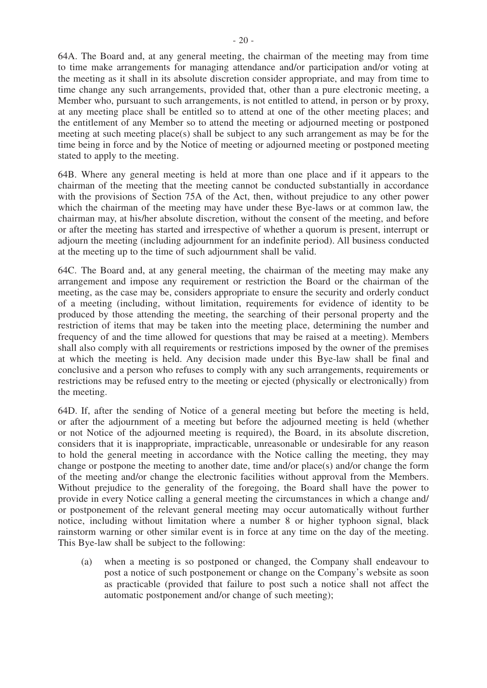64A. The Board and, at any general meeting, the chairman of the meeting may from time to time make arrangements for managing attendance and/or participation and/or voting at the meeting as it shall in its absolute discretion consider appropriate, and may from time to time change any such arrangements, provided that, other than a pure electronic meeting, a Member who, pursuant to such arrangements, is not entitled to attend, in person or by proxy, at any meeting place shall be entitled so to attend at one of the other meeting places; and the entitlement of any Member so to attend the meeting or adjourned meeting or postponed meeting at such meeting place(s) shall be subject to any such arrangement as may be for the time being in force and by the Notice of meeting or adjourned meeting or postponed meeting stated to apply to the meeting.

64B. Where any general meeting is held at more than one place and if it appears to the chairman of the meeting that the meeting cannot be conducted substantially in accordance with the provisions of Section 75A of the Act, then, without prejudice to any other power which the chairman of the meeting may have under these Bye-laws or at common law, the chairman may, at his/her absolute discretion, without the consent of the meeting, and before or after the meeting has started and irrespective of whether a quorum is present, interrupt or adjourn the meeting (including adjournment for an indefinite period). All business conducted at the meeting up to the time of such adjournment shall be valid.

64C. The Board and, at any general meeting, the chairman of the meeting may make any arrangement and impose any requirement or restriction the Board or the chairman of the meeting, as the case may be, considers appropriate to ensure the security and orderly conduct of a meeting (including, without limitation, requirements for evidence of identity to be produced by those attending the meeting, the searching of their personal property and the restriction of items that may be taken into the meeting place, determining the number and frequency of and the time allowed for questions that may be raised at a meeting). Members shall also comply with all requirements or restrictions imposed by the owner of the premises at which the meeting is held. Any decision made under this Bye-law shall be final and conclusive and a person who refuses to comply with any such arrangements, requirements or restrictions may be refused entry to the meeting or ejected (physically or electronically) from the meeting.

64D. If, after the sending of Notice of a general meeting but before the meeting is held, or after the adjournment of a meeting but before the adjourned meeting is held (whether or not Notice of the adjourned meeting is required), the Board, in its absolute discretion, considers that it is inappropriate, impracticable, unreasonable or undesirable for any reason to hold the general meeting in accordance with the Notice calling the meeting, they may change or postpone the meeting to another date, time and/or place(s) and/or change the form of the meeting and/or change the electronic facilities without approval from the Members. Without prejudice to the generality of the foregoing, the Board shall have the power to provide in every Notice calling a general meeting the circumstances in which a change and/ or postponement of the relevant general meeting may occur automatically without further notice, including without limitation where a number 8 or higher typhoon signal, black rainstorm warning or other similar event is in force at any time on the day of the meeting. This Bye-law shall be subject to the following:

(a) when a meeting is so postponed or changed, the Company shall endeavour to post a notice of such postponement or change on the Company's website as soon as practicable (provided that failure to post such a notice shall not affect the automatic postponement and/or change of such meeting);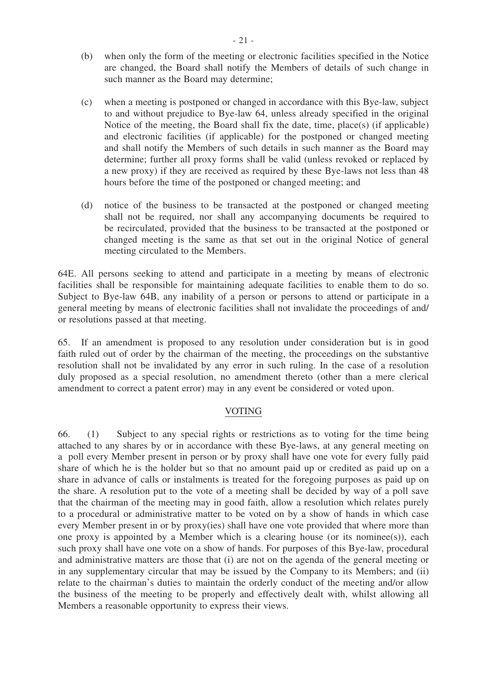- (b) when only the form of the meeting or electronic facilities specified in the Notice are changed, the Board shall notify the Members of details of such change in such manner as the Board may determine;
- (c) when a meeting is postponed or changed in accordance with this Bye-law, subject to and without prejudice to Bye-law 64, unless already specified in the original Notice of the meeting, the Board shall fix the date, time, place(s) (if applicable) and electronic facilities (if applicable) for the postponed or changed meeting and shall notify the Members of such details in such manner as the Board may determine; further all proxy forms shall be valid (unless revoked or replaced by a new proxy) if they are received as required by these Bye-laws not less than 48 hours before the time of the postponed or changed meeting; and
- (d) notice of the business to be transacted at the postponed or changed meeting shall not be required, nor shall any accompanying documents be required to be recirculated, provided that the business to be transacted at the postponed or changed meeting is the same as that set out in the original Notice of general meeting circulated to the Members.

64E. All persons seeking to attend and participate in a meeting by means of electronic facilities shall be responsible for maintaining adequate facilities to enable them to do so. Subject to Bye-law 64B, any inability of a person or persons to attend or participate in a general meeting by means of electronic facilities shall not invalidate the proceedings of and/ or resolutions passed at that meeting.

65. If an amendment is proposed to any resolution under consideration but is in good faith ruled out of order by the chairman of the meeting, the proceedings on the substantive resolution shall not be invalidated by any error in such ruling. In the case of a resolution duly proposed as a special resolution, no amendment thereto (other than a mere clerical amendment to correct a patent error) may in any event be considered or voted upon.

## VOTING

66. (1) Subject to any special rights or restrictions as to voting for the time being attached to any shares by or in accordance with these Bye-laws, at any general meeting on a poll every Member present in person or by proxy shall have one vote for every fully paid share of which he is the holder but so that no amount paid up or credited as paid up on a share in advance of calls or instalments is treated for the foregoing purposes as paid up on the share. A resolution put to the vote of a meeting shall be decided by way of a poll save that the chairman of the meeting may in good faith, allow a resolution which relates purely to a procedural or administrative matter to be voted on by a show of hands in which case every Member present in or by proxy(ies) shall have one vote provided that where more than one proxy is appointed by a Member which is a clearing house (or its nominee(s)), each such proxy shall have one vote on a show of hands. For purposes of this Bye-law, procedural and administrative matters are those that (i) are not on the agenda of the general meeting or in any supplementary circular that may be issued by the Company to its Members; and (ii) relate to the chairman's duties to maintain the orderly conduct of the meeting and/or allow the business of the meeting to be properly and effectively dealt with, whilst allowing all Members a reasonable opportunity to express their views.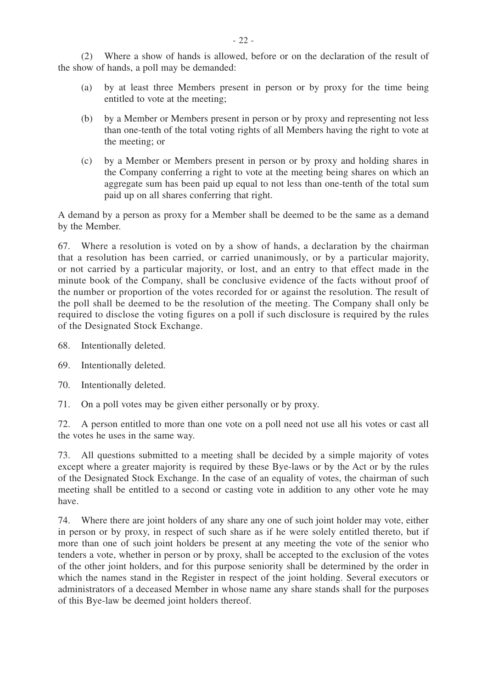(2) Where a show of hands is allowed, before or on the declaration of the result of the show of hands, a poll may be demanded:

- (a) by at least three Members present in person or by proxy for the time being entitled to vote at the meeting;
- (b) by a Member or Members present in person or by proxy and representing not less than one-tenth of the total voting rights of all Members having the right to vote at the meeting; or
- (c) by a Member or Members present in person or by proxy and holding shares in the Company conferring a right to vote at the meeting being shares on which an aggregate sum has been paid up equal to not less than one-tenth of the total sum paid up on all shares conferring that right.

A demand by a person as proxy for a Member shall be deemed to be the same as a demand by the Member.

67. Where a resolution is voted on by a show of hands, a declaration by the chairman that a resolution has been carried, or carried unanimously, or by a particular majority, or not carried by a particular majority, or lost, and an entry to that effect made in the minute book of the Company, shall be conclusive evidence of the facts without proof of the number or proportion of the votes recorded for or against the resolution. The result of the poll shall be deemed to be the resolution of the meeting. The Company shall only be required to disclose the voting figures on a poll if such disclosure is required by the rules of the Designated Stock Exchange.

68. Intentionally deleted.

69. Intentionally deleted.

70. Intentionally deleted.

71. On a poll votes may be given either personally or by proxy.

72. A person entitled to more than one vote on a poll need not use all his votes or cast all the votes he uses in the same way.

73. All questions submitted to a meeting shall be decided by a simple majority of votes except where a greater majority is required by these Bye-laws or by the Act or by the rules of the Designated Stock Exchange. In the case of an equality of votes, the chairman of such meeting shall be entitled to a second or casting vote in addition to any other vote he may have.

74. Where there are joint holders of any share any one of such joint holder may vote, either in person or by proxy, in respect of such share as if he were solely entitled thereto, but if more than one of such joint holders be present at any meeting the vote of the senior who tenders a vote, whether in person or by proxy, shall be accepted to the exclusion of the votes of the other joint holders, and for this purpose seniority shall be determined by the order in which the names stand in the Register in respect of the joint holding. Several executors or administrators of a deceased Member in whose name any share stands shall for the purposes of this Bye-law be deemed joint holders thereof.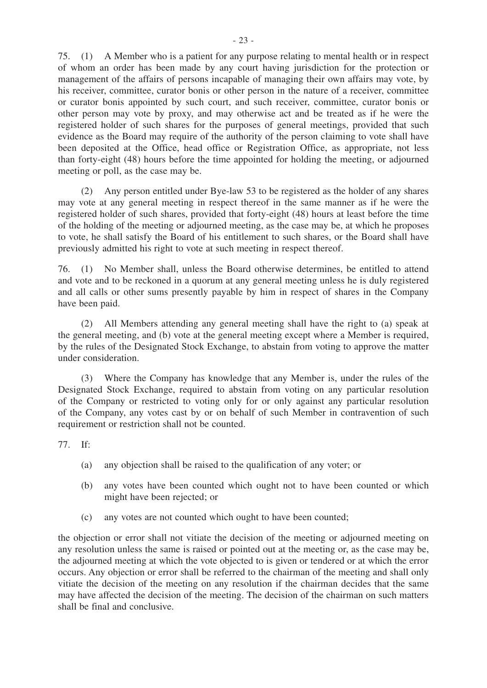75. (1) A Member who is a patient for any purpose relating to mental health or in respect of whom an order has been made by any court having jurisdiction for the protection or management of the affairs of persons incapable of managing their own affairs may vote, by his receiver, committee, curator bonis or other person in the nature of a receiver, committee or curator bonis appointed by such court, and such receiver, committee, curator bonis or other person may vote by proxy, and may otherwise act and be treated as if he were the registered holder of such shares for the purposes of general meetings, provided that such evidence as the Board may require of the authority of the person claiming to vote shall have been deposited at the Office, head office or Registration Office, as appropriate, not less than forty-eight (48) hours before the time appointed for holding the meeting, or adjourned meeting or poll, as the case may be.

 (2) Any person entitled under Bye-law 53 to be registered as the holder of any shares may vote at any general meeting in respect thereof in the same manner as if he were the registered holder of such shares, provided that forty-eight (48) hours at least before the time of the holding of the meeting or adjourned meeting, as the case may be, at which he proposes to vote, he shall satisfy the Board of his entitlement to such shares, or the Board shall have previously admitted his right to vote at such meeting in respect thereof.

76. (1) No Member shall, unless the Board otherwise determines, be entitled to attend and vote and to be reckoned in a quorum at any general meeting unless he is duly registered and all calls or other sums presently payable by him in respect of shares in the Company have been paid.

 (2) All Members attending any general meeting shall have the right to (a) speak at the general meeting, and (b) vote at the general meeting except where a Member is required, by the rules of the Designated Stock Exchange, to abstain from voting to approve the matter under consideration.

(3) Where the Company has knowledge that any Member is, under the rules of the Designated Stock Exchange, required to abstain from voting on any particular resolution of the Company or restricted to voting only for or only against any particular resolution of the Company, any votes cast by or on behalf of such Member in contravention of such requirement or restriction shall not be counted.

77. If:

- (a) any objection shall be raised to the qualification of any voter; or
- (b) any votes have been counted which ought not to have been counted or which might have been rejected; or
- (c) any votes are not counted which ought to have been counted;

the objection or error shall not vitiate the decision of the meeting or adjourned meeting on any resolution unless the same is raised or pointed out at the meeting or, as the case may be, the adjourned meeting at which the vote objected to is given or tendered or at which the error occurs. Any objection or error shall be referred to the chairman of the meeting and shall only vitiate the decision of the meeting on any resolution if the chairman decides that the same may have affected the decision of the meeting. The decision of the chairman on such matters shall be final and conclusive.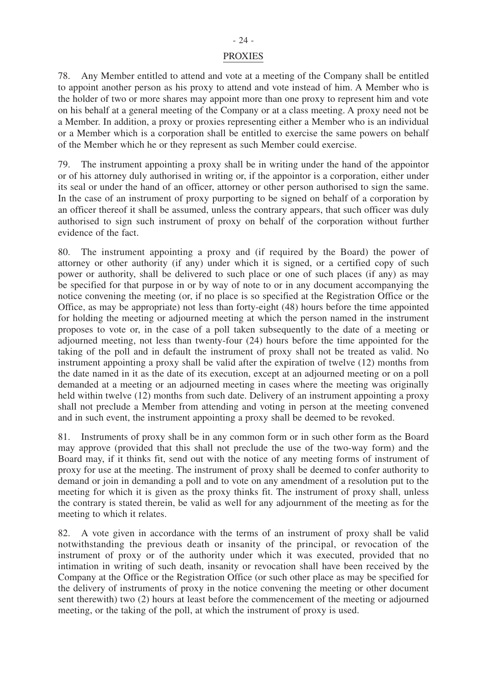#### - 24 -

#### PROXIES

78. Any Member entitled to attend and vote at a meeting of the Company shall be entitled to appoint another person as his proxy to attend and vote instead of him. A Member who is the holder of two or more shares may appoint more than one proxy to represent him and vote on his behalf at a general meeting of the Company or at a class meeting. A proxy need not be a Member. In addition, a proxy or proxies representing either a Member who is an individual or a Member which is a corporation shall be entitled to exercise the same powers on behalf of the Member which he or they represent as such Member could exercise.

79. The instrument appointing a proxy shall be in writing under the hand of the appointor or of his attorney duly authorised in writing or, if the appointor is a corporation, either under its seal or under the hand of an officer, attorney or other person authorised to sign the same. In the case of an instrument of proxy purporting to be signed on behalf of a corporation by an officer thereof it shall be assumed, unless the contrary appears, that such officer was duly authorised to sign such instrument of proxy on behalf of the corporation without further evidence of the fact.

80. The instrument appointing a proxy and (if required by the Board) the power of attorney or other authority (if any) under which it is signed, or a certified copy of such power or authority, shall be delivered to such place or one of such places (if any) as may be specified for that purpose in or by way of note to or in any document accompanying the notice convening the meeting (or, if no place is so specified at the Registration Office or the Office, as may be appropriate) not less than forty-eight (48) hours before the time appointed for holding the meeting or adjourned meeting at which the person named in the instrument proposes to vote or, in the case of a poll taken subsequently to the date of a meeting or adjourned meeting, not less than twenty-four (24) hours before the time appointed for the taking of the poll and in default the instrument of proxy shall not be treated as valid. No instrument appointing a proxy shall be valid after the expiration of twelve (12) months from the date named in it as the date of its execution, except at an adjourned meeting or on a poll demanded at a meeting or an adjourned meeting in cases where the meeting was originally held within twelve (12) months from such date. Delivery of an instrument appointing a proxy shall not preclude a Member from attending and voting in person at the meeting convened and in such event, the instrument appointing a proxy shall be deemed to be revoked.

81. Instruments of proxy shall be in any common form or in such other form as the Board may approve (provided that this shall not preclude the use of the two-way form) and the Board may, if it thinks fit, send out with the notice of any meeting forms of instrument of proxy for use at the meeting. The instrument of proxy shall be deemed to confer authority to demand or join in demanding a poll and to vote on any amendment of a resolution put to the meeting for which it is given as the proxy thinks fit. The instrument of proxy shall, unless the contrary is stated therein, be valid as well for any adjournment of the meeting as for the meeting to which it relates.

82. A vote given in accordance with the terms of an instrument of proxy shall be valid notwithstanding the previous death or insanity of the principal, or revocation of the instrument of proxy or of the authority under which it was executed, provided that no intimation in writing of such death, insanity or revocation shall have been received by the Company at the Office or the Registration Office (or such other place as may be specified for the delivery of instruments of proxy in the notice convening the meeting or other document sent therewith) two (2) hours at least before the commencement of the meeting or adjourned meeting, or the taking of the poll, at which the instrument of proxy is used.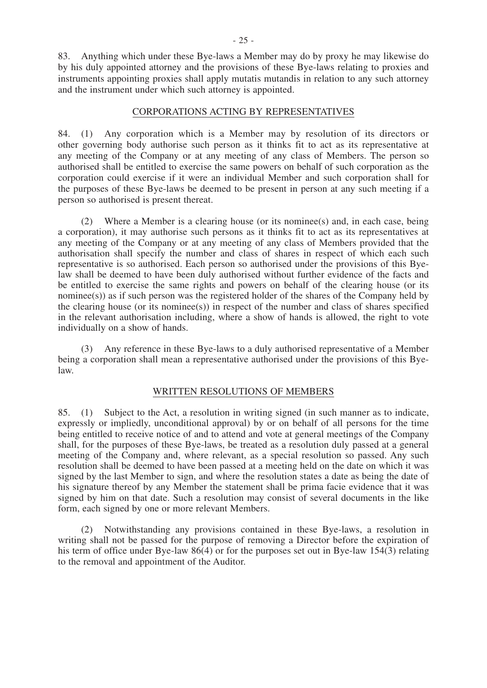83. Anything which under these Bye-laws a Member may do by proxy he may likewise do by his duly appointed attorney and the provisions of these Bye-laws relating to proxies and instruments appointing proxies shall apply mutatis mutandis in relation to any such attorney and the instrument under which such attorney is appointed.

#### CORPORATIONS ACTING BY REPRESENTATIVES

84. (1) Any corporation which is a Member may by resolution of its directors or other governing body authorise such person as it thinks fit to act as its representative at any meeting of the Company or at any meeting of any class of Members. The person so authorised shall be entitled to exercise the same powers on behalf of such corporation as the corporation could exercise if it were an individual Member and such corporation shall for the purposes of these Bye-laws be deemed to be present in person at any such meeting if a person so authorised is present thereat.

 (2) Where a Member is a clearing house (or its nominee(s) and, in each case, being a corporation), it may authorise such persons as it thinks fit to act as its representatives at any meeting of the Company or at any meeting of any class of Members provided that the authorisation shall specify the number and class of shares in respect of which each such representative is so authorised. Each person so authorised under the provisions of this Byelaw shall be deemed to have been duly authorised without further evidence of the facts and be entitled to exercise the same rights and powers on behalf of the clearing house (or its nominee(s)) as if such person was the registered holder of the shares of the Company held by the clearing house (or its nominee(s)) in respect of the number and class of shares specified in the relevant authorisation including, where a show of hands is allowed, the right to vote individually on a show of hands.

 (3) Any reference in these Bye-laws to a duly authorised representative of a Member being a corporation shall mean a representative authorised under the provisions of this Byelaw.

#### WRITTEN RESOLUTIONS OF MEMBERS

85. (1) Subject to the Act, a resolution in writing signed (in such manner as to indicate, expressly or impliedly, unconditional approval) by or on behalf of all persons for the time being entitled to receive notice of and to attend and vote at general meetings of the Company shall, for the purposes of these Bye-laws, be treated as a resolution duly passed at a general meeting of the Company and, where relevant, as a special resolution so passed. Any such resolution shall be deemed to have been passed at a meeting held on the date on which it was signed by the last Member to sign, and where the resolution states a date as being the date of his signature thereof by any Member the statement shall be prima facie evidence that it was signed by him on that date. Such a resolution may consist of several documents in the like form, each signed by one or more relevant Members.

 (2) Notwithstanding any provisions contained in these Bye-laws, a resolution in writing shall not be passed for the purpose of removing a Director before the expiration of his term of office under Bye-law  $86(4)$  or for the purposes set out in Bye-law 154(3) relating to the removal and appointment of the Auditor.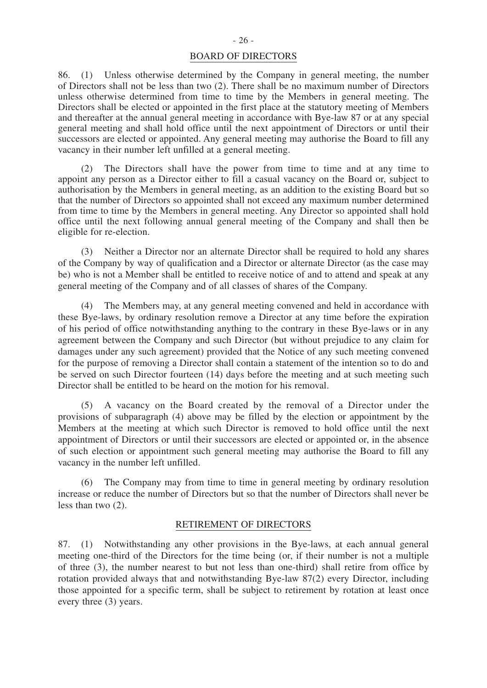86. (1) Unless otherwise determined by the Company in general meeting, the number of Directors shall not be less than two (2). There shall be no maximum number of Directors unless otherwise determined from time to time by the Members in general meeting. The Directors shall be elected or appointed in the first place at the statutory meeting of Members and thereafter at the annual general meeting in accordance with Bye-law 87 or at any special general meeting and shall hold office until the next appointment of Directors or until their successors are elected or appointed. Any general meeting may authorise the Board to fill any vacancy in their number left unfilled at a general meeting.

 (2) The Directors shall have the power from time to time and at any time to appoint any person as a Director either to fill a casual vacancy on the Board or, subject to authorisation by the Members in general meeting, as an addition to the existing Board but so that the number of Directors so appointed shall not exceed any maximum number determined from time to time by the Members in general meeting. Any Director so appointed shall hold office until the next following annual general meeting of the Company and shall then be eligible for re-election.

 (3) Neither a Director nor an alternate Director shall be required to hold any shares of the Company by way of qualification and a Director or alternate Director (as the case may be) who is not a Member shall be entitled to receive notice of and to attend and speak at any general meeting of the Company and of all classes of shares of the Company.

 (4) The Members may, at any general meeting convened and held in accordance with these Bye-laws, by ordinary resolution remove a Director at any time before the expiration of his period of office notwithstanding anything to the contrary in these Bye-laws or in any agreement between the Company and such Director (but without prejudice to any claim for damages under any such agreement) provided that the Notice of any such meeting convened for the purpose of removing a Director shall contain a statement of the intention so to do and be served on such Director fourteen (14) days before the meeting and at such meeting such Director shall be entitled to be heard on the motion for his removal.

 (5) A vacancy on the Board created by the removal of a Director under the provisions of subparagraph (4) above may be filled by the election or appointment by the Members at the meeting at which such Director is removed to hold office until the next appointment of Directors or until their successors are elected or appointed or, in the absence of such election or appointment such general meeting may authorise the Board to fill any vacancy in the number left unfilled.

 (6) The Company may from time to time in general meeting by ordinary resolution increase or reduce the number of Directors but so that the number of Directors shall never be less than two (2).

## RETIREMENT OF DIRECTORS

87. (1) Notwithstanding any other provisions in the Bye-laws, at each annual general meeting one-third of the Directors for the time being (or, if their number is not a multiple of three (3), the number nearest to but not less than one-third) shall retire from office by rotation provided always that and notwithstanding Bye-law 87(2) every Director, including those appointed for a specific term, shall be subject to retirement by rotation at least once every three (3) years.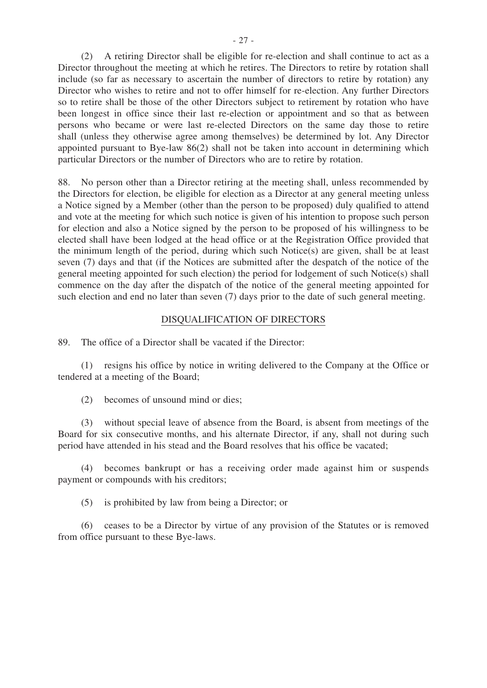(2) A retiring Director shall be eligible for re-election and shall continue to act as a Director throughout the meeting at which he retires. The Directors to retire by rotation shall include (so far as necessary to ascertain the number of directors to retire by rotation) any Director who wishes to retire and not to offer himself for re-election. Any further Directors so to retire shall be those of the other Directors subject to retirement by rotation who have been longest in office since their last re-election or appointment and so that as between persons who became or were last re-elected Directors on the same day those to retire shall (unless they otherwise agree among themselves) be determined by lot. Any Director appointed pursuant to Bye-law 86(2) shall not be taken into account in determining which particular Directors or the number of Directors who are to retire by rotation.

88. No person other than a Director retiring at the meeting shall, unless recommended by the Directors for election, be eligible for election as a Director at any general meeting unless a Notice signed by a Member (other than the person to be proposed) duly qualified to attend and vote at the meeting for which such notice is given of his intention to propose such person for election and also a Notice signed by the person to be proposed of his willingness to be elected shall have been lodged at the head office or at the Registration Office provided that the minimum length of the period, during which such Notice(s) are given, shall be at least seven (7) days and that (if the Notices are submitted after the despatch of the notice of the general meeting appointed for such election) the period for lodgement of such Notice(s) shall commence on the day after the dispatch of the notice of the general meeting appointed for such election and end no later than seven (7) days prior to the date of such general meeting.

#### DISQUALIFICATION OF DIRECTORS

89. The office of a Director shall be vacated if the Director:

 (1) resigns his office by notice in writing delivered to the Company at the Office or tendered at a meeting of the Board;

(2) becomes of unsound mind or dies;

 (3) without special leave of absence from the Board, is absent from meetings of the Board for six consecutive months, and his alternate Director, if any, shall not during such period have attended in his stead and the Board resolves that his office be vacated;

 (4) becomes bankrupt or has a receiving order made against him or suspends payment or compounds with his creditors;

(5) is prohibited by law from being a Director; or

 (6) ceases to be a Director by virtue of any provision of the Statutes or is removed from office pursuant to these Bye-laws.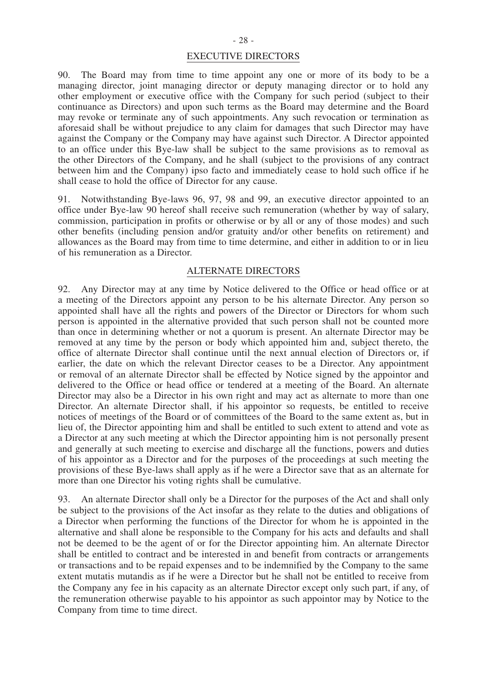#### EXECUTIVE DIRECTORS

90. The Board may from time to time appoint any one or more of its body to be a managing director, joint managing director or deputy managing director or to hold any other employment or executive office with the Company for such period (subject to their continuance as Directors) and upon such terms as the Board may determine and the Board may revoke or terminate any of such appointments. Any such revocation or termination as aforesaid shall be without prejudice to any claim for damages that such Director may have against the Company or the Company may have against such Director. A Director appointed to an office under this Bye-law shall be subject to the same provisions as to removal as the other Directors of the Company, and he shall (subject to the provisions of any contract between him and the Company) ipso facto and immediately cease to hold such office if he shall cease to hold the office of Director for any cause.

91. Notwithstanding Bye-laws 96, 97, 98 and 99, an executive director appointed to an office under Bye-law 90 hereof shall receive such remuneration (whether by way of salary, commission, participation in profits or otherwise or by all or any of those modes) and such other benefits (including pension and/or gratuity and/or other benefits on retirement) and allowances as the Board may from time to time determine, and either in addition to or in lieu of his remuneration as a Director.

#### ALTERNATE DIRECTORS

92. Any Director may at any time by Notice delivered to the Office or head office or at a meeting of the Directors appoint any person to be his alternate Director. Any person so appointed shall have all the rights and powers of the Director or Directors for whom such person is appointed in the alternative provided that such person shall not be counted more than once in determining whether or not a quorum is present. An alternate Director may be removed at any time by the person or body which appointed him and, subject thereto, the office of alternate Director shall continue until the next annual election of Directors or, if earlier, the date on which the relevant Director ceases to be a Director. Any appointment or removal of an alternate Director shall be effected by Notice signed by the appointor and delivered to the Office or head office or tendered at a meeting of the Board. An alternate Director may also be a Director in his own right and may act as alternate to more than one Director. An alternate Director shall, if his appointor so requests, be entitled to receive notices of meetings of the Board or of committees of the Board to the same extent as, but in lieu of, the Director appointing him and shall be entitled to such extent to attend and vote as a Director at any such meeting at which the Director appointing him is not personally present and generally at such meeting to exercise and discharge all the functions, powers and duties of his appointor as a Director and for the purposes of the proceedings at such meeting the provisions of these Bye-laws shall apply as if he were a Director save that as an alternate for more than one Director his voting rights shall be cumulative.

93. An alternate Director shall only be a Director for the purposes of the Act and shall only be subject to the provisions of the Act insofar as they relate to the duties and obligations of a Director when performing the functions of the Director for whom he is appointed in the alternative and shall alone be responsible to the Company for his acts and defaults and shall not be deemed to be the agent of or for the Director appointing him. An alternate Director shall be entitled to contract and be interested in and benefit from contracts or arrangements or transactions and to be repaid expenses and to be indemnified by the Company to the same extent mutatis mutandis as if he were a Director but he shall not be entitled to receive from the Company any fee in his capacity as an alternate Director except only such part, if any, of the remuneration otherwise payable to his appointor as such appointor may by Notice to the Company from time to time direct.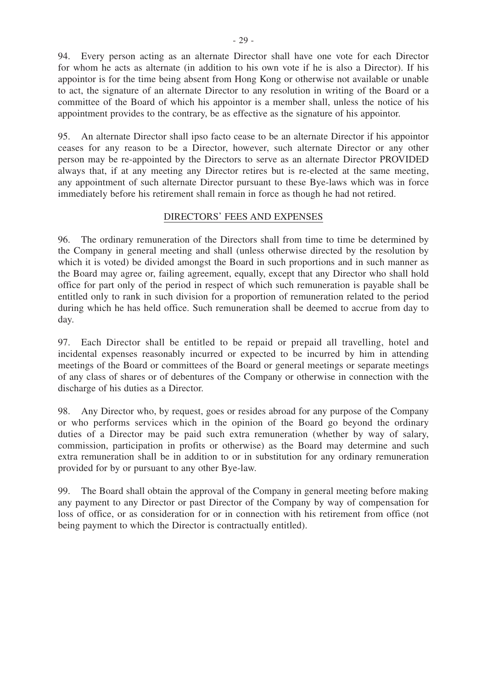94. Every person acting as an alternate Director shall have one vote for each Director for whom he acts as alternate (in addition to his own vote if he is also a Director). If his appointor is for the time being absent from Hong Kong or otherwise not available or unable to act, the signature of an alternate Director to any resolution in writing of the Board or a committee of the Board of which his appointor is a member shall, unless the notice of his appointment provides to the contrary, be as effective as the signature of his appointor.

95. An alternate Director shall ipso facto cease to be an alternate Director if his appointor ceases for any reason to be a Director, however, such alternate Director or any other person may be re-appointed by the Directors to serve as an alternate Director PROVIDED always that, if at any meeting any Director retires but is re-elected at the same meeting, any appointment of such alternate Director pursuant to these Bye-laws which was in force immediately before his retirement shall remain in force as though he had not retired.

## DIRECTORS' FEES AND EXPENSES

96. The ordinary remuneration of the Directors shall from time to time be determined by the Company in general meeting and shall (unless otherwise directed by the resolution by which it is voted) be divided amongst the Board in such proportions and in such manner as the Board may agree or, failing agreement, equally, except that any Director who shall hold office for part only of the period in respect of which such remuneration is payable shall be entitled only to rank in such division for a proportion of remuneration related to the period during which he has held office. Such remuneration shall be deemed to accrue from day to day.

97. Each Director shall be entitled to be repaid or prepaid all travelling, hotel and incidental expenses reasonably incurred or expected to be incurred by him in attending meetings of the Board or committees of the Board or general meetings or separate meetings of any class of shares or of debentures of the Company or otherwise in connection with the discharge of his duties as a Director.

98. Any Director who, by request, goes or resides abroad for any purpose of the Company or who performs services which in the opinion of the Board go beyond the ordinary duties of a Director may be paid such extra remuneration (whether by way of salary, commission, participation in profits or otherwise) as the Board may determine and such extra remuneration shall be in addition to or in substitution for any ordinary remuneration provided for by or pursuant to any other Bye-law.

99. The Board shall obtain the approval of the Company in general meeting before making any payment to any Director or past Director of the Company by way of compensation for loss of office, or as consideration for or in connection with his retirement from office (not being payment to which the Director is contractually entitled).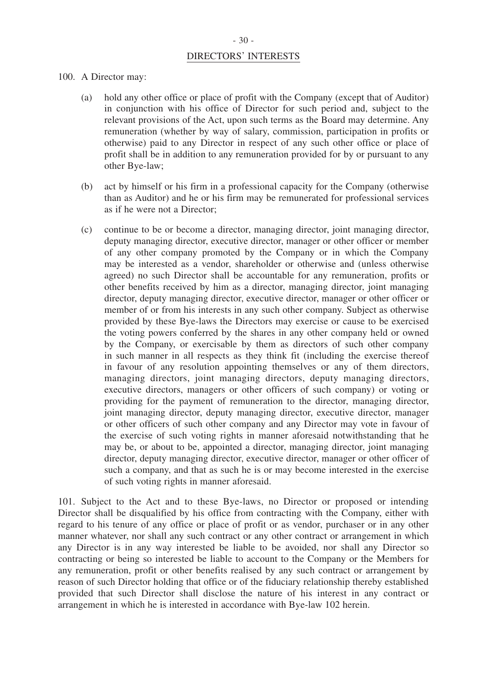## - 30 -

#### DIRECTORS' INTERESTS

#### 100. A Director may:

- (a) hold any other office or place of profit with the Company (except that of Auditor) in conjunction with his office of Director for such period and, subject to the relevant provisions of the Act, upon such terms as the Board may determine. Any remuneration (whether by way of salary, commission, participation in profits or otherwise) paid to any Director in respect of any such other office or place of profit shall be in addition to any remuneration provided for by or pursuant to any other Bye-law;
- (b) act by himself or his firm in a professional capacity for the Company (otherwise than as Auditor) and he or his firm may be remunerated for professional services as if he were not a Director;
- (c) continue to be or become a director, managing director, joint managing director, deputy managing director, executive director, manager or other officer or member of any other company promoted by the Company or in which the Company may be interested as a vendor, shareholder or otherwise and (unless otherwise agreed) no such Director shall be accountable for any remuneration, profits or other benefits received by him as a director, managing director, joint managing director, deputy managing director, executive director, manager or other officer or member of or from his interests in any such other company. Subject as otherwise provided by these Bye-laws the Directors may exercise or cause to be exercised the voting powers conferred by the shares in any other company held or owned by the Company, or exercisable by them as directors of such other company in such manner in all respects as they think fit (including the exercise thereof in favour of any resolution appointing themselves or any of them directors, managing directors, joint managing directors, deputy managing directors, executive directors, managers or other officers of such company) or voting or providing for the payment of remuneration to the director, managing director, joint managing director, deputy managing director, executive director, manager or other officers of such other company and any Director may vote in favour of the exercise of such voting rights in manner aforesaid notwithstanding that he may be, or about to be, appointed a director, managing director, joint managing director, deputy managing director, executive director, manager or other officer of such a company, and that as such he is or may become interested in the exercise of such voting rights in manner aforesaid.

101. Subject to the Act and to these Bye-laws, no Director or proposed or intending Director shall be disqualified by his office from contracting with the Company, either with regard to his tenure of any office or place of profit or as vendor, purchaser or in any other manner whatever, nor shall any such contract or any other contract or arrangement in which any Director is in any way interested be liable to be avoided, nor shall any Director so contracting or being so interested be liable to account to the Company or the Members for any remuneration, profit or other benefits realised by any such contract or arrangement by reason of such Director holding that office or of the fiduciary relationship thereby established provided that such Director shall disclose the nature of his interest in any contract or arrangement in which he is interested in accordance with Bye-law 102 herein.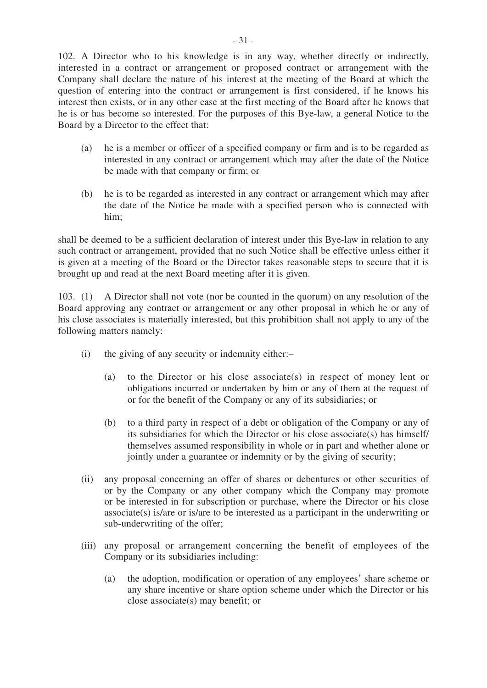102. A Director who to his knowledge is in any way, whether directly or indirectly, interested in a contract or arrangement or proposed contract or arrangement with the Company shall declare the nature of his interest at the meeting of the Board at which the question of entering into the contract or arrangement is first considered, if he knows his interest then exists, or in any other case at the first meeting of the Board after he knows that he is or has become so interested. For the purposes of this Bye-law, a general Notice to the Board by a Director to the effect that:

- (a) he is a member or officer of a specified company or firm and is to be regarded as interested in any contract or arrangement which may after the date of the Notice be made with that company or firm; or
- (b) he is to be regarded as interested in any contract or arrangement which may after the date of the Notice be made with a specified person who is connected with him;

shall be deemed to be a sufficient declaration of interest under this Bye-law in relation to any such contract or arrangement, provided that no such Notice shall be effective unless either it is given at a meeting of the Board or the Director takes reasonable steps to secure that it is brought up and read at the next Board meeting after it is given.

103. (1) A Director shall not vote (nor be counted in the quorum) on any resolution of the Board approving any contract or arrangement or any other proposal in which he or any of his close associates is materially interested, but this prohibition shall not apply to any of the following matters namely:

- (i) the giving of any security or indemnity either:–
	- (a) to the Director or his close associate(s) in respect of money lent or obligations incurred or undertaken by him or any of them at the request of or for the benefit of the Company or any of its subsidiaries; or
	- (b) to a third party in respect of a debt or obligation of the Company or any of its subsidiaries for which the Director or his close associate(s) has himself/ themselves assumed responsibility in whole or in part and whether alone or jointly under a guarantee or indemnity or by the giving of security;
- (ii) any proposal concerning an offer of shares or debentures or other securities of or by the Company or any other company which the Company may promote or be interested in for subscription or purchase, where the Director or his close associate(s) is/are or is/are to be interested as a participant in the underwriting or sub-underwriting of the offer;
- (iii) any proposal or arrangement concerning the benefit of employees of the Company or its subsidiaries including:
	- (a) the adoption, modification or operation of any employees' share scheme or any share incentive or share option scheme under which the Director or his close associate(s) may benefit; or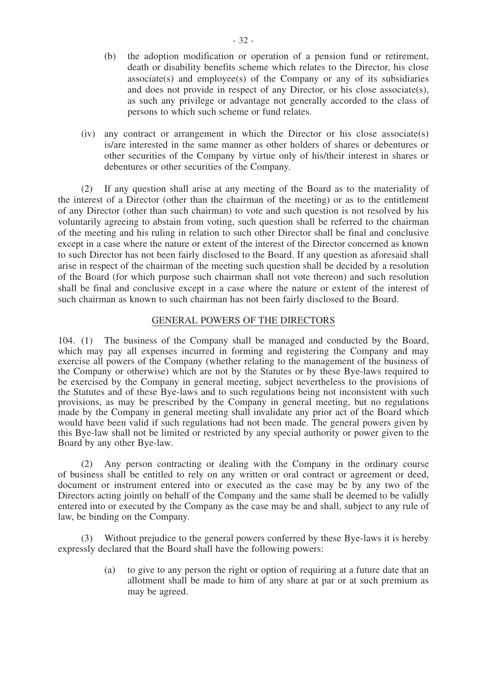- (b) the adoption modification or operation of a pension fund or retirement, death or disability benefits scheme which relates to the Director, his close associate(s) and employee(s) of the Company or any of its subsidiaries and does not provide in respect of any Director, or his close associate(s), as such any privilege or advantage not generally accorded to the class of persons to which such scheme or fund relates.
- (iv) any contract or arrangement in which the Director or his close associate(s) is/are interested in the same manner as other holders of shares or debentures or other securities of the Company by virtue only of his/their interest in shares or debentures or other securities of the Company.

 (2) If any question shall arise at any meeting of the Board as to the materiality of the interest of a Director (other than the chairman of the meeting) or as to the entitlement of any Director (other than such chairman) to vote and such question is not resolved by his voluntarily agreeing to abstain from voting, such question shall be referred to the chairman of the meeting and his ruling in relation to such other Director shall be final and conclusive except in a case where the nature or extent of the interest of the Director concerned as known to such Director has not been fairly disclosed to the Board. If any question as aforesaid shall arise in respect of the chairman of the meeting such question shall be decided by a resolution of the Board (for which purpose such chairman shall not vote thereon) and such resolution shall be final and conclusive except in a case where the nature or extent of the interest of such chairman as known to such chairman has not been fairly disclosed to the Board.

#### GENERAL POWERS OF THE DIRECTORS

104. (1) The business of the Company shall be managed and conducted by the Board, which may pay all expenses incurred in forming and registering the Company and may exercise all powers of the Company (whether relating to the management of the business of the Company or otherwise) which are not by the Statutes or by these Bye-laws required to be exercised by the Company in general meeting, subject nevertheless to the provisions of the Statutes and of these Bye-laws and to such regulations being not inconsistent with such provisions, as may be prescribed by the Company in general meeting, but no regulations made by the Company in general meeting shall invalidate any prior act of the Board which would have been valid if such regulations had not been made. The general powers given by this Bye-law shall not be limited or restricted by any special authority or power given to the Board by any other Bye-law.

 (2) Any person contracting or dealing with the Company in the ordinary course of business shall be entitled to rely on any written or oral contract or agreement or deed, document or instrument entered into or executed as the case may be by any two of the Directors acting jointly on behalf of the Company and the same shall be deemed to be validly entered into or executed by the Company as the case may be and shall, subject to any rule of law, be binding on the Company.

 (3) Without prejudice to the general powers conferred by these Bye-laws it is hereby expressly declared that the Board shall have the following powers:

> (a) to give to any person the right or option of requiring at a future date that an allotment shall be made to him of any share at par or at such premium as may be agreed.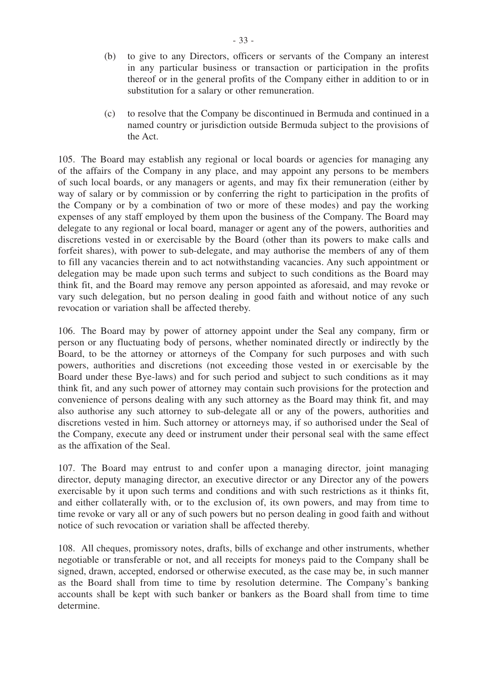- (b) to give to any Directors, officers or servants of the Company an interest in any particular business or transaction or participation in the profits thereof or in the general profits of the Company either in addition to or in substitution for a salary or other remuneration.
- (c) to resolve that the Company be discontinued in Bermuda and continued in a named country or jurisdiction outside Bermuda subject to the provisions of the Act.

105. The Board may establish any regional or local boards or agencies for managing any of the affairs of the Company in any place, and may appoint any persons to be members of such local boards, or any managers or agents, and may fix their remuneration (either by way of salary or by commission or by conferring the right to participation in the profits of the Company or by a combination of two or more of these modes) and pay the working expenses of any staff employed by them upon the business of the Company. The Board may delegate to any regional or local board, manager or agent any of the powers, authorities and discretions vested in or exercisable by the Board (other than its powers to make calls and forfeit shares), with power to sub-delegate, and may authorise the members of any of them to fill any vacancies therein and to act notwithstanding vacancies. Any such appointment or delegation may be made upon such terms and subject to such conditions as the Board may think fit, and the Board may remove any person appointed as aforesaid, and may revoke or vary such delegation, but no person dealing in good faith and without notice of any such revocation or variation shall be affected thereby.

106. The Board may by power of attorney appoint under the Seal any company, firm or person or any fluctuating body of persons, whether nominated directly or indirectly by the Board, to be the attorney or attorneys of the Company for such purposes and with such powers, authorities and discretions (not exceeding those vested in or exercisable by the Board under these Bye-laws) and for such period and subject to such conditions as it may think fit, and any such power of attorney may contain such provisions for the protection and convenience of persons dealing with any such attorney as the Board may think fit, and may also authorise any such attorney to sub-delegate all or any of the powers, authorities and discretions vested in him. Such attorney or attorneys may, if so authorised under the Seal of the Company, execute any deed or instrument under their personal seal with the same effect as the affixation of the Seal.

107. The Board may entrust to and confer upon a managing director, joint managing director, deputy managing director, an executive director or any Director any of the powers exercisable by it upon such terms and conditions and with such restrictions as it thinks fit, and either collaterally with, or to the exclusion of, its own powers, and may from time to time revoke or vary all or any of such powers but no person dealing in good faith and without notice of such revocation or variation shall be affected thereby.

108. All cheques, promissory notes, drafts, bills of exchange and other instruments, whether negotiable or transferable or not, and all receipts for moneys paid to the Company shall be signed, drawn, accepted, endorsed or otherwise executed, as the case may be, in such manner as the Board shall from time to time by resolution determine. The Company's banking accounts shall be kept with such banker or bankers as the Board shall from time to time determine.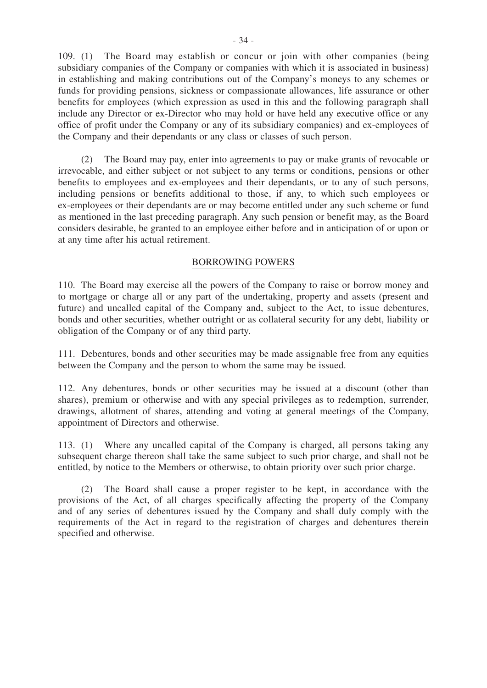109. (1) The Board may establish or concur or join with other companies (being subsidiary companies of the Company or companies with which it is associated in business) in establishing and making contributions out of the Company's moneys to any schemes or funds for providing pensions, sickness or compassionate allowances, life assurance or other benefits for employees (which expression as used in this and the following paragraph shall include any Director or ex-Director who may hold or have held any executive office or any office of profit under the Company or any of its subsidiary companies) and ex-employees of the Company and their dependants or any class or classes of such person.

 (2) The Board may pay, enter into agreements to pay or make grants of revocable or irrevocable, and either subject or not subject to any terms or conditions, pensions or other benefits to employees and ex-employees and their dependants, or to any of such persons, including pensions or benefits additional to those, if any, to which such employees or ex-employees or their dependants are or may become entitled under any such scheme or fund as mentioned in the last preceding paragraph. Any such pension or benefit may, as the Board considers desirable, be granted to an employee either before and in anticipation of or upon or at any time after his actual retirement.

#### BORROWING POWERS

110. The Board may exercise all the powers of the Company to raise or borrow money and to mortgage or charge all or any part of the undertaking, property and assets (present and future) and uncalled capital of the Company and, subject to the Act, to issue debentures, bonds and other securities, whether outright or as collateral security for any debt, liability or obligation of the Company or of any third party.

111. Debentures, bonds and other securities may be made assignable free from any equities between the Company and the person to whom the same may be issued.

112. Any debentures, bonds or other securities may be issued at a discount (other than shares), premium or otherwise and with any special privileges as to redemption, surrender, drawings, allotment of shares, attending and voting at general meetings of the Company, appointment of Directors and otherwise.

113. (1) Where any uncalled capital of the Company is charged, all persons taking any subsequent charge thereon shall take the same subject to such prior charge, and shall not be entitled, by notice to the Members or otherwise, to obtain priority over such prior charge.

 (2) The Board shall cause a proper register to be kept, in accordance with the provisions of the Act, of all charges specifically affecting the property of the Company and of any series of debentures issued by the Company and shall duly comply with the requirements of the Act in regard to the registration of charges and debentures therein specified and otherwise.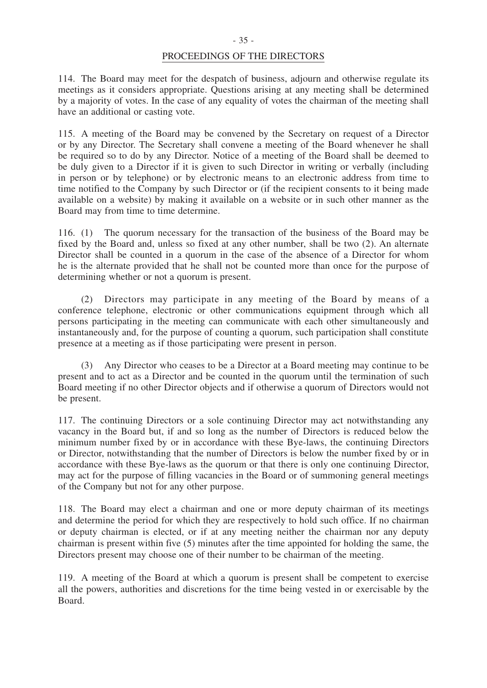## PROCEEDINGS OF THE DIRECTORS

114. The Board may meet for the despatch of business, adjourn and otherwise regulate its meetings as it considers appropriate. Questions arising at any meeting shall be determined by a majority of votes. In the case of any equality of votes the chairman of the meeting shall have an additional or casting vote.

115. A meeting of the Board may be convened by the Secretary on request of a Director or by any Director. The Secretary shall convene a meeting of the Board whenever he shall be required so to do by any Director. Notice of a meeting of the Board shall be deemed to be duly given to a Director if it is given to such Director in writing or verbally (including in person or by telephone) or by electronic means to an electronic address from time to time notified to the Company by such Director or (if the recipient consents to it being made available on a website) by making it available on a website or in such other manner as the Board may from time to time determine.

116. (1) The quorum necessary for the transaction of the business of the Board may be fixed by the Board and, unless so fixed at any other number, shall be two (2). An alternate Director shall be counted in a quorum in the case of the absence of a Director for whom he is the alternate provided that he shall not be counted more than once for the purpose of determining whether or not a quorum is present.

 (2) Directors may participate in any meeting of the Board by means of a conference telephone, electronic or other communications equipment through which all persons participating in the meeting can communicate with each other simultaneously and instantaneously and, for the purpose of counting a quorum, such participation shall constitute presence at a meeting as if those participating were present in person.

 (3) Any Director who ceases to be a Director at a Board meeting may continue to be present and to act as a Director and be counted in the quorum until the termination of such Board meeting if no other Director objects and if otherwise a quorum of Directors would not be present.

117. The continuing Directors or a sole continuing Director may act notwithstanding any vacancy in the Board but, if and so long as the number of Directors is reduced below the minimum number fixed by or in accordance with these Bye-laws, the continuing Directors or Director, notwithstanding that the number of Directors is below the number fixed by or in accordance with these Bye-laws as the quorum or that there is only one continuing Director, may act for the purpose of filling vacancies in the Board or of summoning general meetings of the Company but not for any other purpose.

118. The Board may elect a chairman and one or more deputy chairman of its meetings and determine the period for which they are respectively to hold such office. If no chairman or deputy chairman is elected, or if at any meeting neither the chairman nor any deputy chairman is present within five (5) minutes after the time appointed for holding the same, the Directors present may choose one of their number to be chairman of the meeting.

119. A meeting of the Board at which a quorum is present shall be competent to exercise all the powers, authorities and discretions for the time being vested in or exercisable by the Board.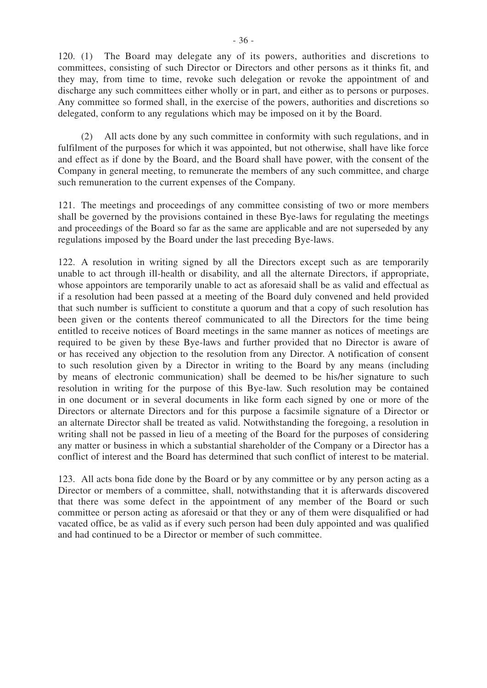120. (1) The Board may delegate any of its powers, authorities and discretions to committees, consisting of such Director or Directors and other persons as it thinks fit, and they may, from time to time, revoke such delegation or revoke the appointment of and discharge any such committees either wholly or in part, and either as to persons or purposes. Any committee so formed shall, in the exercise of the powers, authorities and discretions so delegated, conform to any regulations which may be imposed on it by the Board.

 (2) All acts done by any such committee in conformity with such regulations, and in fulfilment of the purposes for which it was appointed, but not otherwise, shall have like force and effect as if done by the Board, and the Board shall have power, with the consent of the Company in general meeting, to remunerate the members of any such committee, and charge such remuneration to the current expenses of the Company.

121. The meetings and proceedings of any committee consisting of two or more members shall be governed by the provisions contained in these Bye-laws for regulating the meetings and proceedings of the Board so far as the same are applicable and are not superseded by any regulations imposed by the Board under the last preceding Bye-laws.

122. A resolution in writing signed by all the Directors except such as are temporarily unable to act through ill-health or disability, and all the alternate Directors, if appropriate, whose appointors are temporarily unable to act as aforesaid shall be as valid and effectual as if a resolution had been passed at a meeting of the Board duly convened and held provided that such number is sufficient to constitute a quorum and that a copy of such resolution has been given or the contents thereof communicated to all the Directors for the time being entitled to receive notices of Board meetings in the same manner as notices of meetings are required to be given by these Bye-laws and further provided that no Director is aware of or has received any objection to the resolution from any Director. A notification of consent to such resolution given by a Director in writing to the Board by any means (including by means of electronic communication) shall be deemed to be his/her signature to such resolution in writing for the purpose of this Bye-law. Such resolution may be contained in one document or in several documents in like form each signed by one or more of the Directors or alternate Directors and for this purpose a facsimile signature of a Director or an alternate Director shall be treated as valid. Notwithstanding the foregoing, a resolution in writing shall not be passed in lieu of a meeting of the Board for the purposes of considering any matter or business in which a substantial shareholder of the Company or a Director has a conflict of interest and the Board has determined that such conflict of interest to be material.

123. All acts bona fide done by the Board or by any committee or by any person acting as a Director or members of a committee, shall, notwithstanding that it is afterwards discovered that there was some defect in the appointment of any member of the Board or such committee or person acting as aforesaid or that they or any of them were disqualified or had vacated office, be as valid as if every such person had been duly appointed and was qualified and had continued to be a Director or member of such committee.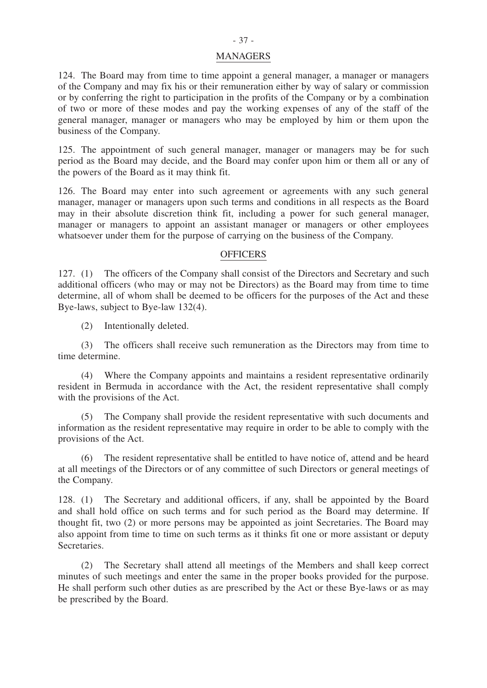## - 37 -

#### MANAGERS

124. The Board may from time to time appoint a general manager, a manager or managers of the Company and may fix his or their remuneration either by way of salary or commission or by conferring the right to participation in the profits of the Company or by a combination of two or more of these modes and pay the working expenses of any of the staff of the general manager, manager or managers who may be employed by him or them upon the business of the Company.

125. The appointment of such general manager, manager or managers may be for such period as the Board may decide, and the Board may confer upon him or them all or any of the powers of the Board as it may think fit.

126. The Board may enter into such agreement or agreements with any such general manager, manager or managers upon such terms and conditions in all respects as the Board may in their absolute discretion think fit, including a power for such general manager, manager or managers to appoint an assistant manager or managers or other employees whatsoever under them for the purpose of carrying on the business of the Company.

#### **OFFICERS**

127. (1) The officers of the Company shall consist of the Directors and Secretary and such additional officers (who may or may not be Directors) as the Board may from time to time determine, all of whom shall be deemed to be officers for the purposes of the Act and these Bye-laws, subject to Bye-law 132(4).

(2) Intentionally deleted.

 (3) The officers shall receive such remuneration as the Directors may from time to time determine.

 (4) Where the Company appoints and maintains a resident representative ordinarily resident in Bermuda in accordance with the Act, the resident representative shall comply with the provisions of the Act.

(5) The Company shall provide the resident representative with such documents and information as the resident representative may require in order to be able to comply with the provisions of the Act.

(6) The resident representative shall be entitled to have notice of, attend and be heard at all meetings of the Directors or of any committee of such Directors or general meetings of the Company.

128. (1) The Secretary and additional officers, if any, shall be appointed by the Board and shall hold office on such terms and for such period as the Board may determine. If thought fit, two (2) or more persons may be appointed as joint Secretaries. The Board may also appoint from time to time on such terms as it thinks fit one or more assistant or deputy Secretaries.

 (2) The Secretary shall attend all meetings of the Members and shall keep correct minutes of such meetings and enter the same in the proper books provided for the purpose. He shall perform such other duties as are prescribed by the Act or these Bye-laws or as may be prescribed by the Board.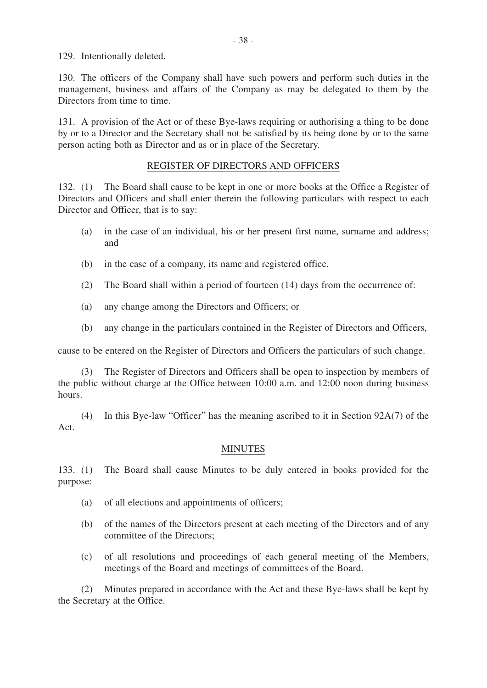129. Intentionally deleted.

130. The officers of the Company shall have such powers and perform such duties in the management, business and affairs of the Company as may be delegated to them by the Directors from time to time.

131. A provision of the Act or of these Bye-laws requiring or authorising a thing to be done by or to a Director and the Secretary shall not be satisfied by its being done by or to the same person acting both as Director and as or in place of the Secretary.

## REGISTER OF DIRECTORS AND OFFICERS

132. (1) The Board shall cause to be kept in one or more books at the Office a Register of Directors and Officers and shall enter therein the following particulars with respect to each Director and Officer, that is to say:

- (a) in the case of an individual, his or her present first name, surname and address; and
- (b) in the case of a company, its name and registered office.
- (2) The Board shall within a period of fourteen (14) days from the occurrence of:
- (a) any change among the Directors and Officers; or
- (b) any change in the particulars contained in the Register of Directors and Officers,

cause to be entered on the Register of Directors and Officers the particulars of such change.

 (3) The Register of Directors and Officers shall be open to inspection by members of the public without charge at the Office between 10:00 a.m. and 12:00 noon during business hours.

 (4) In this Bye-law "Officer" has the meaning ascribed to it in Section 92A(7) of the Act.

## MINUTES

133. (1) The Board shall cause Minutes to be duly entered in books provided for the purpose:

- (a) of all elections and appointments of officers;
- (b) of the names of the Directors present at each meeting of the Directors and of any committee of the Directors;
- (c) of all resolutions and proceedings of each general meeting of the Members, meetings of the Board and meetings of committees of the Board.

 (2) Minutes prepared in accordance with the Act and these Bye-laws shall be kept by the Secretary at the Office.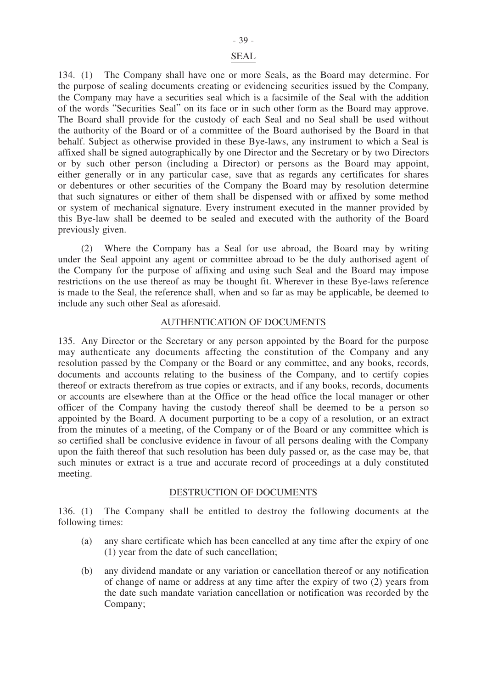#### SEAL

134. (1) The Company shall have one or more Seals, as the Board may determine. For the purpose of sealing documents creating or evidencing securities issued by the Company, the Company may have a securities seal which is a facsimile of the Seal with the addition of the words "Securities Seal" on its face or in such other form as the Board may approve. The Board shall provide for the custody of each Seal and no Seal shall be used without the authority of the Board or of a committee of the Board authorised by the Board in that behalf. Subject as otherwise provided in these Bye-laws, any instrument to which a Seal is affixed shall be signed autographically by one Director and the Secretary or by two Directors or by such other person (including a Director) or persons as the Board may appoint, either generally or in any particular case, save that as regards any certificates for shares or debentures or other securities of the Company the Board may by resolution determine that such signatures or either of them shall be dispensed with or affixed by some method or system of mechanical signature. Every instrument executed in the manner provided by this Bye-law shall be deemed to be sealed and executed with the authority of the Board previously given.

 (2) Where the Company has a Seal for use abroad, the Board may by writing under the Seal appoint any agent or committee abroad to be the duly authorised agent of the Company for the purpose of affixing and using such Seal and the Board may impose restrictions on the use thereof as may be thought fit. Wherever in these Bye-laws reference is made to the Seal, the reference shall, when and so far as may be applicable, be deemed to include any such other Seal as aforesaid.

#### AUTHENTICATION OF DOCUMENTS

135. Any Director or the Secretary or any person appointed by the Board for the purpose may authenticate any documents affecting the constitution of the Company and any resolution passed by the Company or the Board or any committee, and any books, records, documents and accounts relating to the business of the Company, and to certify copies thereof or extracts therefrom as true copies or extracts, and if any books, records, documents or accounts are elsewhere than at the Office or the head office the local manager or other officer of the Company having the custody thereof shall be deemed to be a person so appointed by the Board. A document purporting to be a copy of a resolution, or an extract from the minutes of a meeting, of the Company or of the Board or any committee which is so certified shall be conclusive evidence in favour of all persons dealing with the Company upon the faith thereof that such resolution has been duly passed or, as the case may be, that such minutes or extract is a true and accurate record of proceedings at a duly constituted meeting.

#### DESTRUCTION OF DOCUMENTS

136. (1) The Company shall be entitled to destroy the following documents at the following times:

- (a) any share certificate which has been cancelled at any time after the expiry of one (1) year from the date of such cancellation;
- (b) any dividend mandate or any variation or cancellation thereof or any notification of change of name or address at any time after the expiry of two (2) years from the date such mandate variation cancellation or notification was recorded by the Company;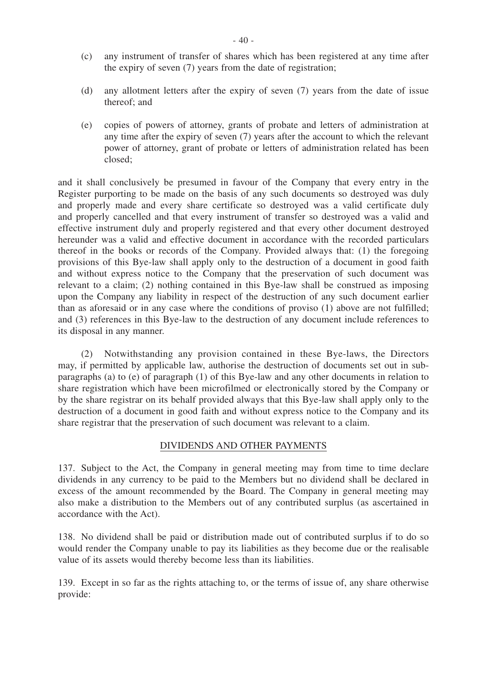- (c) any instrument of transfer of shares which has been registered at any time after the expiry of seven (7) years from the date of registration;
- (d) any allotment letters after the expiry of seven (7) years from the date of issue thereof; and
- (e) copies of powers of attorney, grants of probate and letters of administration at any time after the expiry of seven (7) years after the account to which the relevant power of attorney, grant of probate or letters of administration related has been closed;

and it shall conclusively be presumed in favour of the Company that every entry in the Register purporting to be made on the basis of any such documents so destroyed was duly and properly made and every share certificate so destroyed was a valid certificate duly and properly cancelled and that every instrument of transfer so destroyed was a valid and effective instrument duly and properly registered and that every other document destroyed hereunder was a valid and effective document in accordance with the recorded particulars thereof in the books or records of the Company. Provided always that: (1) the foregoing provisions of this Bye-law shall apply only to the destruction of a document in good faith and without express notice to the Company that the preservation of such document was relevant to a claim; (2) nothing contained in this Bye-law shall be construed as imposing upon the Company any liability in respect of the destruction of any such document earlier than as aforesaid or in any case where the conditions of proviso (1) above are not fulfilled; and (3) references in this Bye-law to the destruction of any document include references to its disposal in any manner.

 (2) Notwithstanding any provision contained in these Bye-laws, the Directors may, if permitted by applicable law, authorise the destruction of documents set out in subparagraphs (a) to (e) of paragraph (1) of this Bye-law and any other documents in relation to share registration which have been microfilmed or electronically stored by the Company or by the share registrar on its behalf provided always that this Bye-law shall apply only to the destruction of a document in good faith and without express notice to the Company and its share registrar that the preservation of such document was relevant to a claim.

#### DIVIDENDS AND OTHER PAYMENTS

137. Subject to the Act, the Company in general meeting may from time to time declare dividends in any currency to be paid to the Members but no dividend shall be declared in excess of the amount recommended by the Board. The Company in general meeting may also make a distribution to the Members out of any contributed surplus (as ascertained in accordance with the Act).

138. No dividend shall be paid or distribution made out of contributed surplus if to do so would render the Company unable to pay its liabilities as they become due or the realisable value of its assets would thereby become less than its liabilities.

139. Except in so far as the rights attaching to, or the terms of issue of, any share otherwise provide: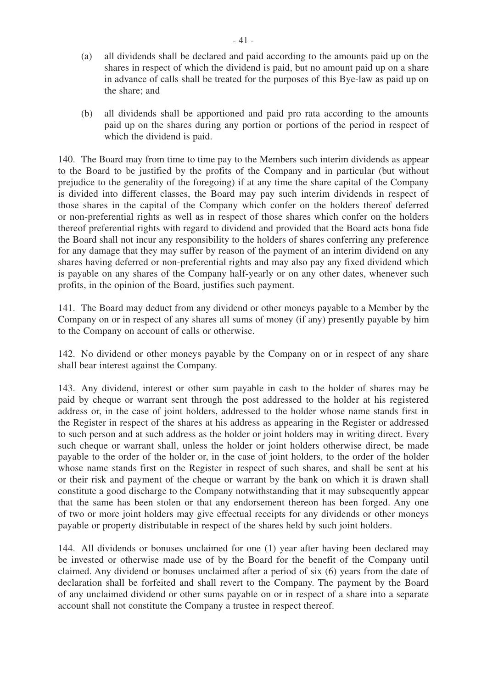- (a) all dividends shall be declared and paid according to the amounts paid up on the shares in respect of which the dividend is paid, but no amount paid up on a share in advance of calls shall be treated for the purposes of this Bye-law as paid up on the share; and
- (b) all dividends shall be apportioned and paid pro rata according to the amounts paid up on the shares during any portion or portions of the period in respect of which the dividend is paid.

140. The Board may from time to time pay to the Members such interim dividends as appear to the Board to be justified by the profits of the Company and in particular (but without prejudice to the generality of the foregoing) if at any time the share capital of the Company is divided into different classes, the Board may pay such interim dividends in respect of those shares in the capital of the Company which confer on the holders thereof deferred or non-preferential rights as well as in respect of those shares which confer on the holders thereof preferential rights with regard to dividend and provided that the Board acts bona fide the Board shall not incur any responsibility to the holders of shares conferring any preference for any damage that they may suffer by reason of the payment of an interim dividend on any shares having deferred or non-preferential rights and may also pay any fixed dividend which is payable on any shares of the Company half-yearly or on any other dates, whenever such profits, in the opinion of the Board, justifies such payment.

141. The Board may deduct from any dividend or other moneys payable to a Member by the Company on or in respect of any shares all sums of money (if any) presently payable by him to the Company on account of calls or otherwise.

142. No dividend or other moneys payable by the Company on or in respect of any share shall bear interest against the Company.

143. Any dividend, interest or other sum payable in cash to the holder of shares may be paid by cheque or warrant sent through the post addressed to the holder at his registered address or, in the case of joint holders, addressed to the holder whose name stands first in the Register in respect of the shares at his address as appearing in the Register or addressed to such person and at such address as the holder or joint holders may in writing direct. Every such cheque or warrant shall, unless the holder or joint holders otherwise direct, be made payable to the order of the holder or, in the case of joint holders, to the order of the holder whose name stands first on the Register in respect of such shares, and shall be sent at his or their risk and payment of the cheque or warrant by the bank on which it is drawn shall constitute a good discharge to the Company notwithstanding that it may subsequently appear that the same has been stolen or that any endorsement thereon has been forged. Any one of two or more joint holders may give effectual receipts for any dividends or other moneys payable or property distributable in respect of the shares held by such joint holders.

144. All dividends or bonuses unclaimed for one (1) year after having been declared may be invested or otherwise made use of by the Board for the benefit of the Company until claimed. Any dividend or bonuses unclaimed after a period of six (6) years from the date of declaration shall be forfeited and shall revert to the Company. The payment by the Board of any unclaimed dividend or other sums payable on or in respect of a share into a separate account shall not constitute the Company a trustee in respect thereof.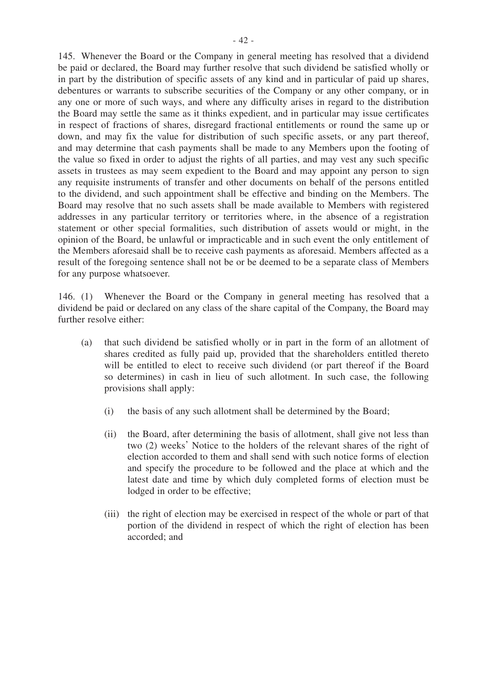145. Whenever the Board or the Company in general meeting has resolved that a dividend be paid or declared, the Board may further resolve that such dividend be satisfied wholly or in part by the distribution of specific assets of any kind and in particular of paid up shares, debentures or warrants to subscribe securities of the Company or any other company, or in any one or more of such ways, and where any difficulty arises in regard to the distribution the Board may settle the same as it thinks expedient, and in particular may issue certificates in respect of fractions of shares, disregard fractional entitlements or round the same up or down, and may fix the value for distribution of such specific assets, or any part thereof, and may determine that cash payments shall be made to any Members upon the footing of the value so fixed in order to adjust the rights of all parties, and may vest any such specific assets in trustees as may seem expedient to the Board and may appoint any person to sign any requisite instruments of transfer and other documents on behalf of the persons entitled to the dividend, and such appointment shall be effective and binding on the Members. The Board may resolve that no such assets shall be made available to Members with registered addresses in any particular territory or territories where, in the absence of a registration statement or other special formalities, such distribution of assets would or might, in the opinion of the Board, be unlawful or impracticable and in such event the only entitlement of the Members aforesaid shall be to receive cash payments as aforesaid. Members affected as a result of the foregoing sentence shall not be or be deemed to be a separate class of Members for any purpose whatsoever.

146. (1) Whenever the Board or the Company in general meeting has resolved that a dividend be paid or declared on any class of the share capital of the Company, the Board may further resolve either:

- (a) that such dividend be satisfied wholly or in part in the form of an allotment of shares credited as fully paid up, provided that the shareholders entitled thereto will be entitled to elect to receive such dividend (or part thereof if the Board so determines) in cash in lieu of such allotment. In such case, the following provisions shall apply:
	- (i) the basis of any such allotment shall be determined by the Board;
	- (ii) the Board, after determining the basis of allotment, shall give not less than two (2) weeks' Notice to the holders of the relevant shares of the right of election accorded to them and shall send with such notice forms of election and specify the procedure to be followed and the place at which and the latest date and time by which duly completed forms of election must be lodged in order to be effective;
	- (iii) the right of election may be exercised in respect of the whole or part of that portion of the dividend in respect of which the right of election has been accorded; and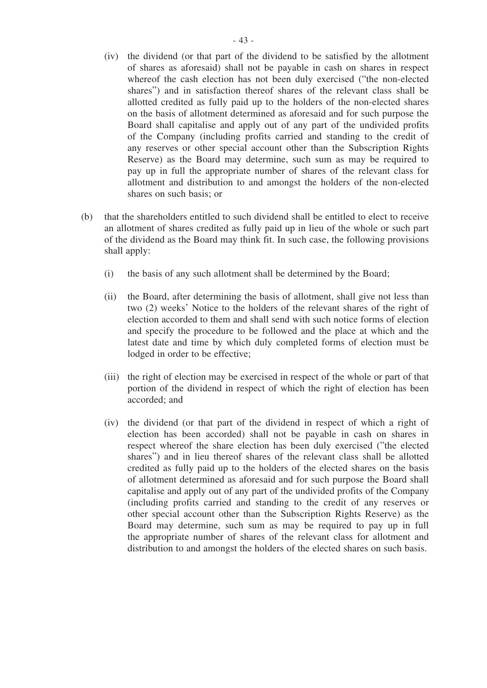- (iv) the dividend (or that part of the dividend to be satisfied by the allotment of shares as aforesaid) shall not be payable in cash on shares in respect whereof the cash election has not been duly exercised ("the non-elected shares") and in satisfaction thereof shares of the relevant class shall be allotted credited as fully paid up to the holders of the non-elected shares on the basis of allotment determined as aforesaid and for such purpose the Board shall capitalise and apply out of any part of the undivided profits of the Company (including profits carried and standing to the credit of any reserves or other special account other than the Subscription Rights Reserve) as the Board may determine, such sum as may be required to pay up in full the appropriate number of shares of the relevant class for allotment and distribution to and amongst the holders of the non-elected shares on such basis; or
- (b) that the shareholders entitled to such dividend shall be entitled to elect to receive an allotment of shares credited as fully paid up in lieu of the whole or such part of the dividend as the Board may think fit. In such case, the following provisions shall apply:
	- (i) the basis of any such allotment shall be determined by the Board;
	- (ii) the Board, after determining the basis of allotment, shall give not less than two (2) weeks' Notice to the holders of the relevant shares of the right of election accorded to them and shall send with such notice forms of election and specify the procedure to be followed and the place at which and the latest date and time by which duly completed forms of election must be lodged in order to be effective;
	- (iii) the right of election may be exercised in respect of the whole or part of that portion of the dividend in respect of which the right of election has been accorded; and
	- (iv) the dividend (or that part of the dividend in respect of which a right of election has been accorded) shall not be payable in cash on shares in respect whereof the share election has been duly exercised ("the elected shares") and in lieu thereof shares of the relevant class shall be allotted credited as fully paid up to the holders of the elected shares on the basis of allotment determined as aforesaid and for such purpose the Board shall capitalise and apply out of any part of the undivided profits of the Company (including profits carried and standing to the credit of any reserves or other special account other than the Subscription Rights Reserve) as the Board may determine, such sum as may be required to pay up in full the appropriate number of shares of the relevant class for allotment and distribution to and amongst the holders of the elected shares on such basis.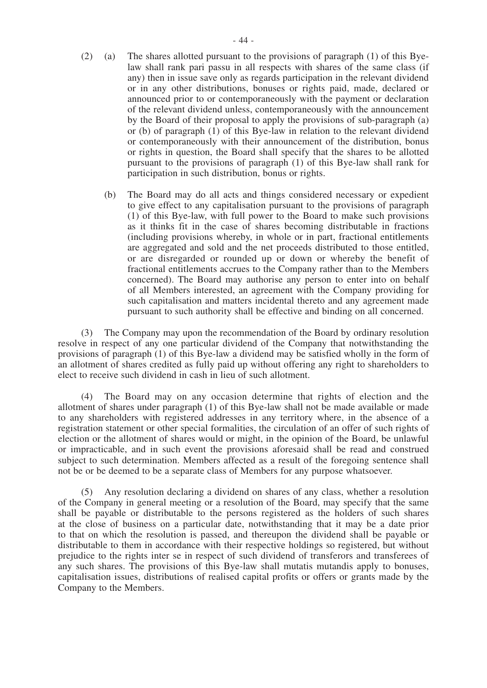- (2) (a) The shares allotted pursuant to the provisions of paragraph (1) of this Byelaw shall rank pari passu in all respects with shares of the same class (if any) then in issue save only as regards participation in the relevant dividend or in any other distributions, bonuses or rights paid, made, declared or announced prior to or contemporaneously with the payment or declaration of the relevant dividend unless, contemporaneously with the announcement by the Board of their proposal to apply the provisions of sub-paragraph (a) or (b) of paragraph (1) of this Bye-law in relation to the relevant dividend or contemporaneously with their announcement of the distribution, bonus or rights in question, the Board shall specify that the shares to be allotted pursuant to the provisions of paragraph (1) of this Bye-law shall rank for participation in such distribution, bonus or rights.
	- (b) The Board may do all acts and things considered necessary or expedient to give effect to any capitalisation pursuant to the provisions of paragraph (1) of this Bye-law, with full power to the Board to make such provisions as it thinks fit in the case of shares becoming distributable in fractions (including provisions whereby, in whole or in part, fractional entitlements are aggregated and sold and the net proceeds distributed to those entitled, or are disregarded or rounded up or down or whereby the benefit of fractional entitlements accrues to the Company rather than to the Members concerned). The Board may authorise any person to enter into on behalf of all Members interested, an agreement with the Company providing for such capitalisation and matters incidental thereto and any agreement made pursuant to such authority shall be effective and binding on all concerned.

 (3) The Company may upon the recommendation of the Board by ordinary resolution resolve in respect of any one particular dividend of the Company that notwithstanding the provisions of paragraph (1) of this Bye-law a dividend may be satisfied wholly in the form of an allotment of shares credited as fully paid up without offering any right to shareholders to elect to receive such dividend in cash in lieu of such allotment.

 (4) The Board may on any occasion determine that rights of election and the allotment of shares under paragraph (1) of this Bye-law shall not be made available or made to any shareholders with registered addresses in any territory where, in the absence of a registration statement or other special formalities, the circulation of an offer of such rights of election or the allotment of shares would or might, in the opinion of the Board, be unlawful or impracticable, and in such event the provisions aforesaid shall be read and construed subject to such determination. Members affected as a result of the foregoing sentence shall not be or be deemed to be a separate class of Members for any purpose whatsoever.

 (5) Any resolution declaring a dividend on shares of any class, whether a resolution of the Company in general meeting or a resolution of the Board, may specify that the same shall be payable or distributable to the persons registered as the holders of such shares at the close of business on a particular date, notwithstanding that it may be a date prior to that on which the resolution is passed, and thereupon the dividend shall be payable or distributable to them in accordance with their respective holdings so registered, but without prejudice to the rights inter se in respect of such dividend of transferors and transferees of any such shares. The provisions of this Bye-law shall mutatis mutandis apply to bonuses, capitalisation issues, distributions of realised capital profits or offers or grants made by the Company to the Members.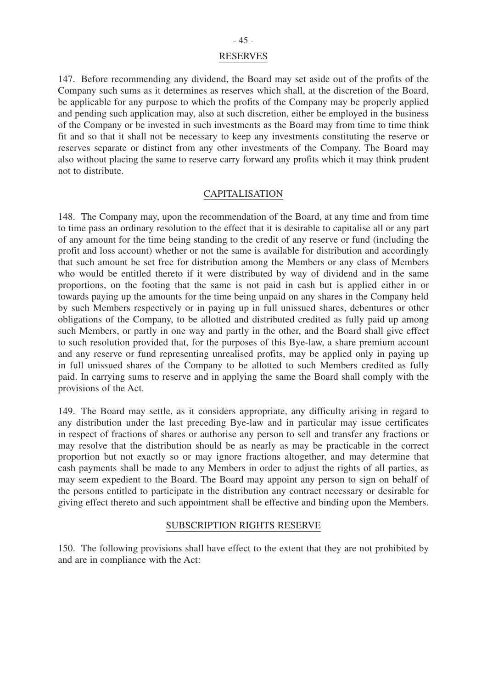#### RESERVES

147. Before recommending any dividend, the Board may set aside out of the profits of the Company such sums as it determines as reserves which shall, at the discretion of the Board, be applicable for any purpose to which the profits of the Company may be properly applied and pending such application may, also at such discretion, either be employed in the business of the Company or be invested in such investments as the Board may from time to time think fit and so that it shall not be necessary to keep any investments constituting the reserve or reserves separate or distinct from any other investments of the Company. The Board may also without placing the same to reserve carry forward any profits which it may think prudent not to distribute.

#### **CAPITALISATION**

148. The Company may, upon the recommendation of the Board, at any time and from time to time pass an ordinary resolution to the effect that it is desirable to capitalise all or any part of any amount for the time being standing to the credit of any reserve or fund (including the profit and loss account) whether or not the same is available for distribution and accordingly that such amount be set free for distribution among the Members or any class of Members who would be entitled thereto if it were distributed by way of dividend and in the same proportions, on the footing that the same is not paid in cash but is applied either in or towards paying up the amounts for the time being unpaid on any shares in the Company held by such Members respectively or in paying up in full unissued shares, debentures or other obligations of the Company, to be allotted and distributed credited as fully paid up among such Members, or partly in one way and partly in the other, and the Board shall give effect to such resolution provided that, for the purposes of this Bye-law, a share premium account and any reserve or fund representing unrealised profits, may be applied only in paying up in full unissued shares of the Company to be allotted to such Members credited as fully paid. In carrying sums to reserve and in applying the same the Board shall comply with the provisions of the Act.

149. The Board may settle, as it considers appropriate, any difficulty arising in regard to any distribution under the last preceding Bye-law and in particular may issue certificates in respect of fractions of shares or authorise any person to sell and transfer any fractions or may resolve that the distribution should be as nearly as may be practicable in the correct proportion but not exactly so or may ignore fractions altogether, and may determine that cash payments shall be made to any Members in order to adjust the rights of all parties, as may seem expedient to the Board. The Board may appoint any person to sign on behalf of the persons entitled to participate in the distribution any contract necessary or desirable for giving effect thereto and such appointment shall be effective and binding upon the Members.

#### SUBSCRIPTION RIGHTS RESERVE

150. The following provisions shall have effect to the extent that they are not prohibited by and are in compliance with the Act: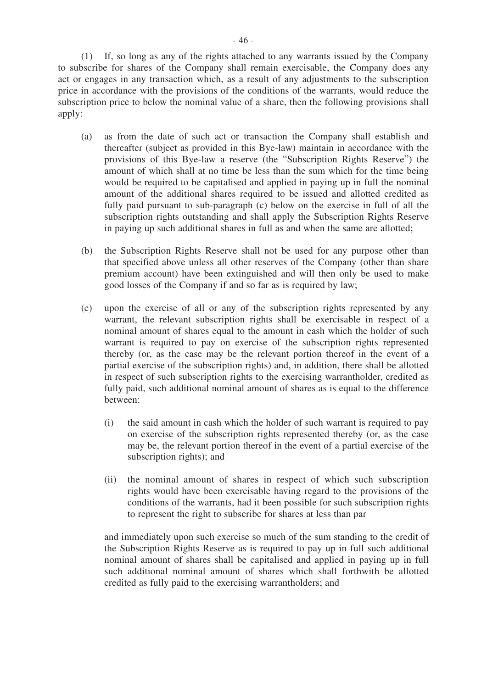(1) If, so long as any of the rights attached to any warrants issued by the Company to subscribe for shares of the Company shall remain exercisable, the Company does any act or engages in any transaction which, as a result of any adjustments to the subscription price in accordance with the provisions of the conditions of the warrants, would reduce the subscription price to below the nominal value of a share, then the following provisions shall apply:

- (a) as from the date of such act or transaction the Company shall establish and thereafter (subject as provided in this Bye-law) maintain in accordance with the provisions of this Bye-law a reserve (the "Subscription Rights Reserve") the amount of which shall at no time be less than the sum which for the time being would be required to be capitalised and applied in paying up in full the nominal amount of the additional shares required to be issued and allotted credited as fully paid pursuant to sub-paragraph (c) below on the exercise in full of all the subscription rights outstanding and shall apply the Subscription Rights Reserve in paying up such additional shares in full as and when the same are allotted;
- (b) the Subscription Rights Reserve shall not be used for any purpose other than that specified above unless all other reserves of the Company (other than share premium account) have been extinguished and will then only be used to make good losses of the Company if and so far as is required by law;
- (c) upon the exercise of all or any of the subscription rights represented by any warrant, the relevant subscription rights shall be exercisable in respect of a nominal amount of shares equal to the amount in cash which the holder of such warrant is required to pay on exercise of the subscription rights represented thereby (or, as the case may be the relevant portion thereof in the event of a partial exercise of the subscription rights) and, in addition, there shall be allotted in respect of such subscription rights to the exercising warrantholder, credited as fully paid, such additional nominal amount of shares as is equal to the difference between:
	- (i) the said amount in cash which the holder of such warrant is required to pay on exercise of the subscription rights represented thereby (or, as the case may be, the relevant portion thereof in the event of a partial exercise of the subscription rights); and
	- (ii) the nominal amount of shares in respect of which such subscription rights would have been exercisable having regard to the provisions of the conditions of the warrants, had it been possible for such subscription rights to represent the right to subscribe for shares at less than par

and immediately upon such exercise so much of the sum standing to the credit of the Subscription Rights Reserve as is required to pay up in full such additional nominal amount of shares shall be capitalised and applied in paying up in full such additional nominal amount of shares which shall forthwith be allotted credited as fully paid to the exercising warrantholders; and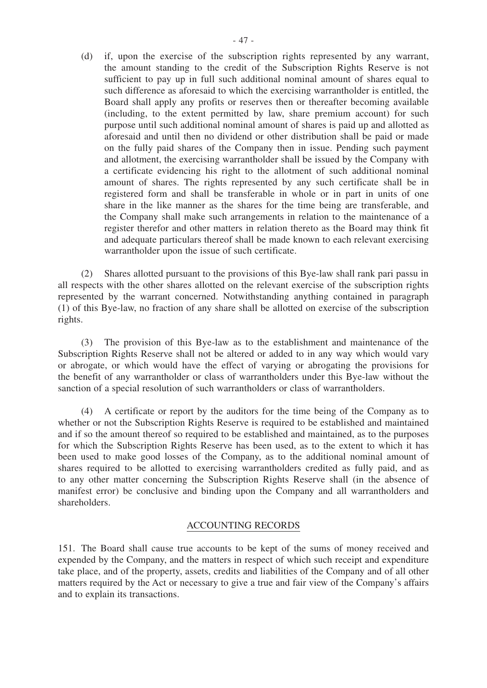(d) if, upon the exercise of the subscription rights represented by any warrant, the amount standing to the credit of the Subscription Rights Reserve is not sufficient to pay up in full such additional nominal amount of shares equal to such difference as aforesaid to which the exercising warrantholder is entitled, the Board shall apply any profits or reserves then or thereafter becoming available (including, to the extent permitted by law, share premium account) for such purpose until such additional nominal amount of shares is paid up and allotted as aforesaid and until then no dividend or other distribution shall be paid or made on the fully paid shares of the Company then in issue. Pending such payment and allotment, the exercising warrantholder shall be issued by the Company with a certificate evidencing his right to the allotment of such additional nominal amount of shares. The rights represented by any such certificate shall be in registered form and shall be transferable in whole or in part in units of one share in the like manner as the shares for the time being are transferable, and the Company shall make such arrangements in relation to the maintenance of a register therefor and other matters in relation thereto as the Board may think fit and adequate particulars thereof shall be made known to each relevant exercising warrantholder upon the issue of such certificate.

 (2) Shares allotted pursuant to the provisions of this Bye-law shall rank pari passu in all respects with the other shares allotted on the relevant exercise of the subscription rights represented by the warrant concerned. Notwithstanding anything contained in paragraph (1) of this Bye-law, no fraction of any share shall be allotted on exercise of the subscription rights.

 (3) The provision of this Bye-law as to the establishment and maintenance of the Subscription Rights Reserve shall not be altered or added to in any way which would vary or abrogate, or which would have the effect of varying or abrogating the provisions for the benefit of any warrantholder or class of warrantholders under this Bye-law without the sanction of a special resolution of such warrantholders or class of warrantholders.

 (4) A certificate or report by the auditors for the time being of the Company as to whether or not the Subscription Rights Reserve is required to be established and maintained and if so the amount thereof so required to be established and maintained, as to the purposes for which the Subscription Rights Reserve has been used, as to the extent to which it has been used to make good losses of the Company, as to the additional nominal amount of shares required to be allotted to exercising warrantholders credited as fully paid, and as to any other matter concerning the Subscription Rights Reserve shall (in the absence of manifest error) be conclusive and binding upon the Company and all warrantholders and shareholders.

#### ACCOUNTING RECORDS

151. The Board shall cause true accounts to be kept of the sums of money received and expended by the Company, and the matters in respect of which such receipt and expenditure take place, and of the property, assets, credits and liabilities of the Company and of all other matters required by the Act or necessary to give a true and fair view of the Company's affairs and to explain its transactions.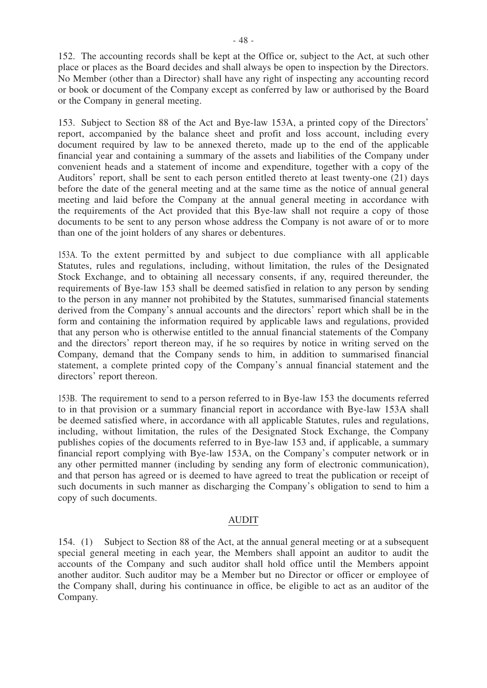152. The accounting records shall be kept at the Office or, subject to the Act, at such other place or places as the Board decides and shall always be open to inspection by the Directors. No Member (other than a Director) shall have any right of inspecting any accounting record or book or document of the Company except as conferred by law or authorised by the Board or the Company in general meeting.

153. Subject to Section 88 of the Act and Bye-law 153A, a printed copy of the Directors' report, accompanied by the balance sheet and profit and loss account, including every document required by law to be annexed thereto, made up to the end of the applicable financial year and containing a summary of the assets and liabilities of the Company under convenient heads and a statement of income and expenditure, together with a copy of the Auditors' report, shall be sent to each person entitled thereto at least twenty-one (21) days before the date of the general meeting and at the same time as the notice of annual general meeting and laid before the Company at the annual general meeting in accordance with the requirements of the Act provided that this Bye-law shall not require a copy of those documents to be sent to any person whose address the Company is not aware of or to more than one of the joint holders of any shares or debentures.

153A. To the extent permitted by and subject to due compliance with all applicable Statutes, rules and regulations, including, without limitation, the rules of the Designated Stock Exchange, and to obtaining all necessary consents, if any, required thereunder, the requirements of Bye-law 153 shall be deemed satisfied in relation to any person by sending to the person in any manner not prohibited by the Statutes, summarised financial statements derived from the Company's annual accounts and the directors' report which shall be in the form and containing the information required by applicable laws and regulations, provided that any person who is otherwise entitled to the annual financial statements of the Company and the directors' report thereon may, if he so requires by notice in writing served on the Company, demand that the Company sends to him, in addition to summarised financial statement, a complete printed copy of the Company's annual financial statement and the directors' report thereon.

153B. The requirement to send to a person referred to in Bye-law 153 the documents referred to in that provision or a summary financial report in accordance with Bye-law 153A shall be deemed satisfied where, in accordance with all applicable Statutes, rules and regulations, including, without limitation, the rules of the Designated Stock Exchange, the Company publishes copies of the documents referred to in Bye-law 153 and, if applicable, a summary financial report complying with Bye-law 153A, on the Company's computer network or in any other permitted manner (including by sending any form of electronic communication), and that person has agreed or is deemed to have agreed to treat the publication or receipt of such documents in such manner as discharging the Company's obligation to send to him a copy of such documents.

#### AUDIT

154. (1) Subject to Section 88 of the Act, at the annual general meeting or at a subsequent special general meeting in each year, the Members shall appoint an auditor to audit the accounts of the Company and such auditor shall hold office until the Members appoint another auditor. Such auditor may be a Member but no Director or officer or employee of the Company shall, during his continuance in office, be eligible to act as an auditor of the Company.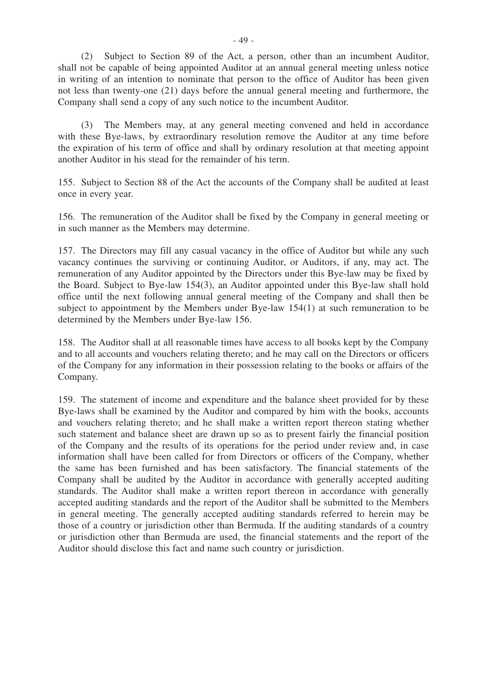(2) Subject to Section 89 of the Act, a person, other than an incumbent Auditor, shall not be capable of being appointed Auditor at an annual general meeting unless notice in writing of an intention to nominate that person to the office of Auditor has been given not less than twenty-one (21) days before the annual general meeting and furthermore, the Company shall send a copy of any such notice to the incumbent Auditor.

 (3) The Members may, at any general meeting convened and held in accordance with these Bye-laws, by extraordinary resolution remove the Auditor at any time before the expiration of his term of office and shall by ordinary resolution at that meeting appoint another Auditor in his stead for the remainder of his term.

155. Subject to Section 88 of the Act the accounts of the Company shall be audited at least once in every year.

156. The remuneration of the Auditor shall be fixed by the Company in general meeting or in such manner as the Members may determine.

157. The Directors may fill any casual vacancy in the office of Auditor but while any such vacancy continues the surviving or continuing Auditor, or Auditors, if any, may act. The remuneration of any Auditor appointed by the Directors under this Bye-law may be fixed by the Board. Subject to Bye-law 154(3), an Auditor appointed under this Bye-law shall hold office until the next following annual general meeting of the Company and shall then be subject to appointment by the Members under Bye-law 154(1) at such remuneration to be determined by the Members under Bye-law 156.

158. The Auditor shall at all reasonable times have access to all books kept by the Company and to all accounts and vouchers relating thereto; and he may call on the Directors or officers of the Company for any information in their possession relating to the books or affairs of the Company.

159. The statement of income and expenditure and the balance sheet provided for by these Bye-laws shall be examined by the Auditor and compared by him with the books, accounts and vouchers relating thereto; and he shall make a written report thereon stating whether such statement and balance sheet are drawn up so as to present fairly the financial position of the Company and the results of its operations for the period under review and, in case information shall have been called for from Directors or officers of the Company, whether the same has been furnished and has been satisfactory. The financial statements of the Company shall be audited by the Auditor in accordance with generally accepted auditing standards. The Auditor shall make a written report thereon in accordance with generally accepted auditing standards and the report of the Auditor shall be submitted to the Members in general meeting. The generally accepted auditing standards referred to herein may be those of a country or jurisdiction other than Bermuda. If the auditing standards of a country or jurisdiction other than Bermuda are used, the financial statements and the report of the Auditor should disclose this fact and name such country or jurisdiction.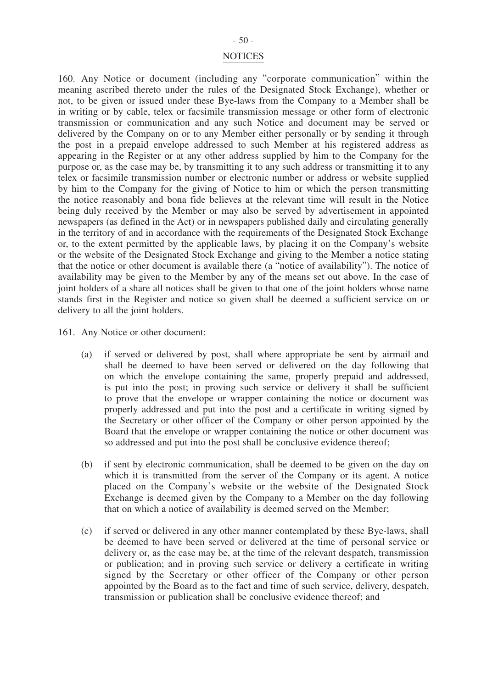#### - 50 -

#### **NOTICES**

160. Any Notice or document (including any "corporate communication" within the meaning ascribed thereto under the rules of the Designated Stock Exchange), whether or not, to be given or issued under these Bye-laws from the Company to a Member shall be in writing or by cable, telex or facsimile transmission message or other form of electronic transmission or communication and any such Notice and document may be served or delivered by the Company on or to any Member either personally or by sending it through the post in a prepaid envelope addressed to such Member at his registered address as appearing in the Register or at any other address supplied by him to the Company for the purpose or, as the case may be, by transmitting it to any such address or transmitting it to any telex or facsimile transmission number or electronic number or address or website supplied by him to the Company for the giving of Notice to him or which the person transmitting the notice reasonably and bona fide believes at the relevant time will result in the Notice being duly received by the Member or may also be served by advertisement in appointed newspapers (as defined in the Act) or in newspapers published daily and circulating generally in the territory of and in accordance with the requirements of the Designated Stock Exchange or, to the extent permitted by the applicable laws, by placing it on the Company's website or the website of the Designated Stock Exchange and giving to the Member a notice stating that the notice or other document is available there (a "notice of availability"). The notice of availability may be given to the Member by any of the means set out above. In the case of joint holders of a share all notices shall be given to that one of the joint holders whose name stands first in the Register and notice so given shall be deemed a sufficient service on or delivery to all the joint holders.

161. Any Notice or other document:

- (a) if served or delivered by post, shall where appropriate be sent by airmail and shall be deemed to have been served or delivered on the day following that on which the envelope containing the same, properly prepaid and addressed, is put into the post; in proving such service or delivery it shall be sufficient to prove that the envelope or wrapper containing the notice or document was properly addressed and put into the post and a certificate in writing signed by the Secretary or other officer of the Company or other person appointed by the Board that the envelope or wrapper containing the notice or other document was so addressed and put into the post shall be conclusive evidence thereof;
- (b) if sent by electronic communication, shall be deemed to be given on the day on which it is transmitted from the server of the Company or its agent. A notice placed on the Company's website or the website of the Designated Stock Exchange is deemed given by the Company to a Member on the day following that on which a notice of availability is deemed served on the Member;
- (c) if served or delivered in any other manner contemplated by these Bye-laws, shall be deemed to have been served or delivered at the time of personal service or delivery or, as the case may be, at the time of the relevant despatch, transmission or publication; and in proving such service or delivery a certificate in writing signed by the Secretary or other officer of the Company or other person appointed by the Board as to the fact and time of such service, delivery, despatch, transmission or publication shall be conclusive evidence thereof; and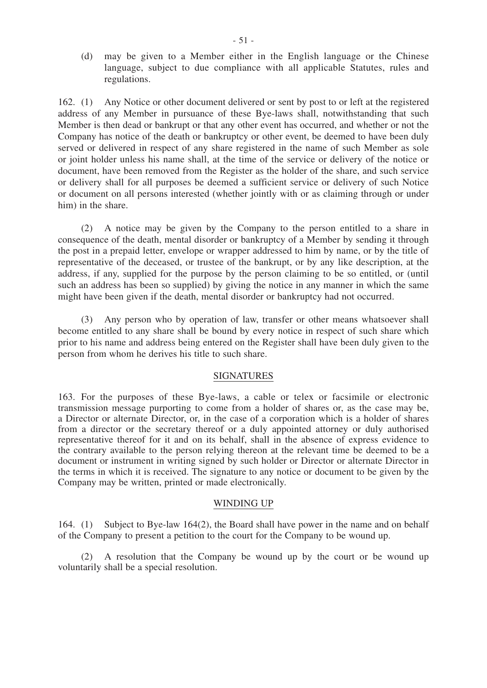(d) may be given to a Member either in the English language or the Chinese language, subject to due compliance with all applicable Statutes, rules and regulations.

162. (1) Any Notice or other document delivered or sent by post to or left at the registered address of any Member in pursuance of these Bye-laws shall, notwithstanding that such Member is then dead or bankrupt or that any other event has occurred, and whether or not the Company has notice of the death or bankruptcy or other event, be deemed to have been duly served or delivered in respect of any share registered in the name of such Member as sole or joint holder unless his name shall, at the time of the service or delivery of the notice or document, have been removed from the Register as the holder of the share, and such service or delivery shall for all purposes be deemed a sufficient service or delivery of such Notice or document on all persons interested (whether jointly with or as claiming through or under him) in the share.

 (2) A notice may be given by the Company to the person entitled to a share in consequence of the death, mental disorder or bankruptcy of a Member by sending it through the post in a prepaid letter, envelope or wrapper addressed to him by name, or by the title of representative of the deceased, or trustee of the bankrupt, or by any like description, at the address, if any, supplied for the purpose by the person claiming to be so entitled, or (until such an address has been so supplied) by giving the notice in any manner in which the same might have been given if the death, mental disorder or bankruptcy had not occurred.

 (3) Any person who by operation of law, transfer or other means whatsoever shall become entitled to any share shall be bound by every notice in respect of such share which prior to his name and address being entered on the Register shall have been duly given to the person from whom he derives his title to such share.

#### SIGNATURES

163. For the purposes of these Bye-laws, a cable or telex or facsimile or electronic transmission message purporting to come from a holder of shares or, as the case may be, a Director or alternate Director, or, in the case of a corporation which is a holder of shares from a director or the secretary thereof or a duly appointed attorney or duly authorised representative thereof for it and on its behalf, shall in the absence of express evidence to the contrary available to the person relying thereon at the relevant time be deemed to be a document or instrument in writing signed by such holder or Director or alternate Director in the terms in which it is received. The signature to any notice or document to be given by the Company may be written, printed or made electronically.

#### WINDING UP

164. (1) Subject to Bye-law 164(2), the Board shall have power in the name and on behalf of the Company to present a petition to the court for the Company to be wound up.

 (2) A resolution that the Company be wound up by the court or be wound up voluntarily shall be a special resolution.